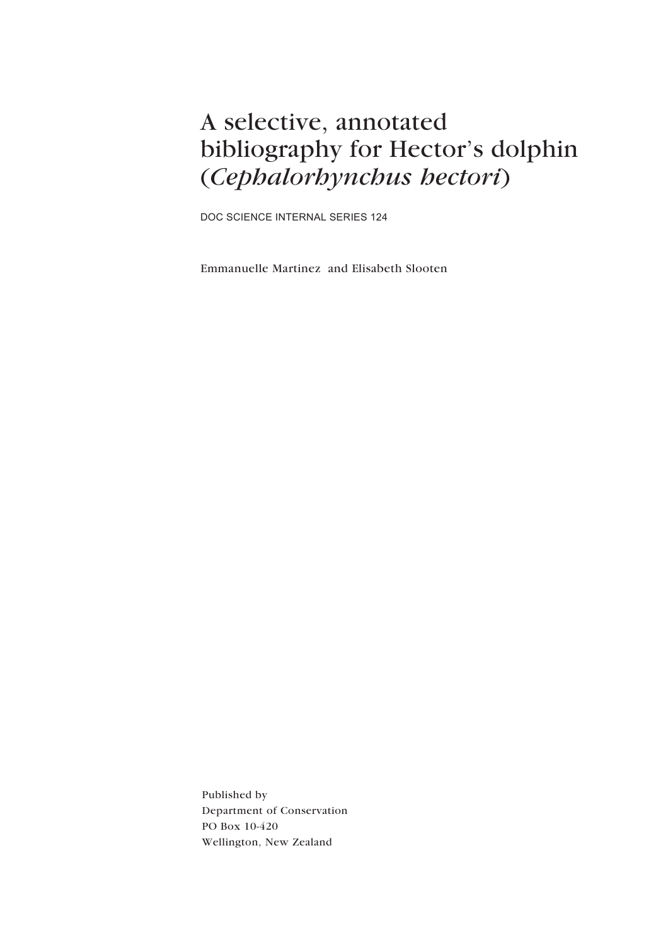## A selective, annotated bibliography for Hector's dolphin (*Cephalorhynchus hectori*)

DOC SCIENCE INTERNAL SERIES 124

Emmanuelle Martinez and Elisabeth Slooten

Published by Department of Conservation PO Box 10-420 Wellington, New Zealand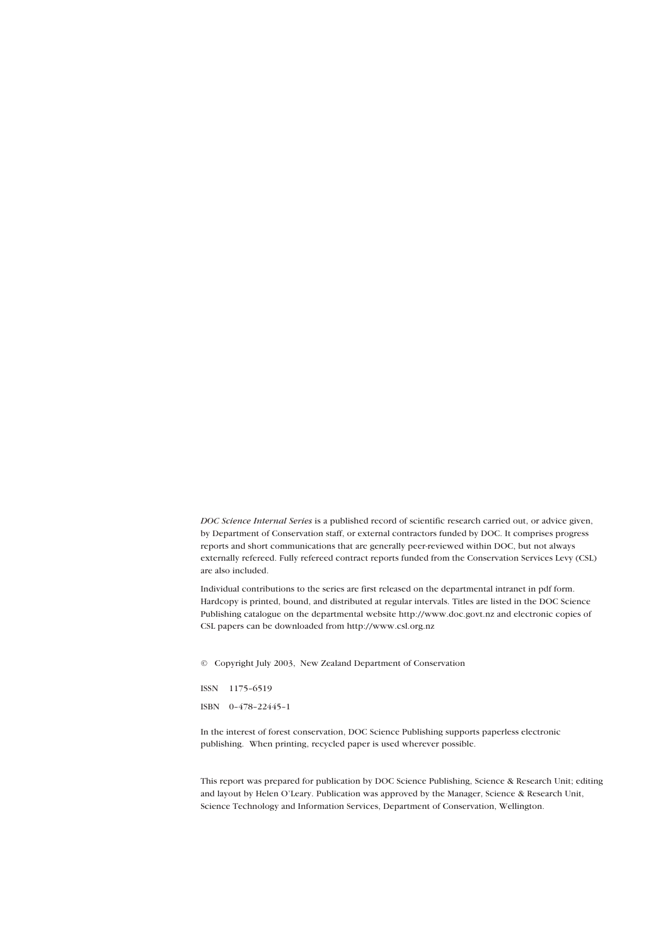*DOC Science Internal Series* is a published record of scientific research carried out, or advice given, by Department of Conservation staff, or external contractors funded by DOC. It comprises progress reports and short communications that are generally peer-reviewed within DOC, but not always externally refereed. Fully refereed contract reports funded from the Conservation Services Levy (CSL) are also included.

Individual contributions to the series are first released on the departmental intranet in pdf form. Hardcopy is printed, bound, and distributed at regular intervals. Titles are listed in the DOC Science Publishing catalogue on the departmental website http://www.doc.govt.nz and electronic copies of CSL papers can be downloaded from http://www.csl.org.nz

© Copyright July 2003, New Zealand Department of Conservation

ISSN 1175-6519

ISBN 0-478-22445-1

In the interest of forest conservation, DOC Science Publishing supports paperless electronic publishing. When printing, recycled paper is used wherever possible.

This report was prepared for publication by DOC Science Publishing, Science & Research Unit; editing and layout by Helen OíLeary. Publication was approved by the Manager, Science & Research Unit, Science Technology and Information Services, Department of Conservation, Wellington.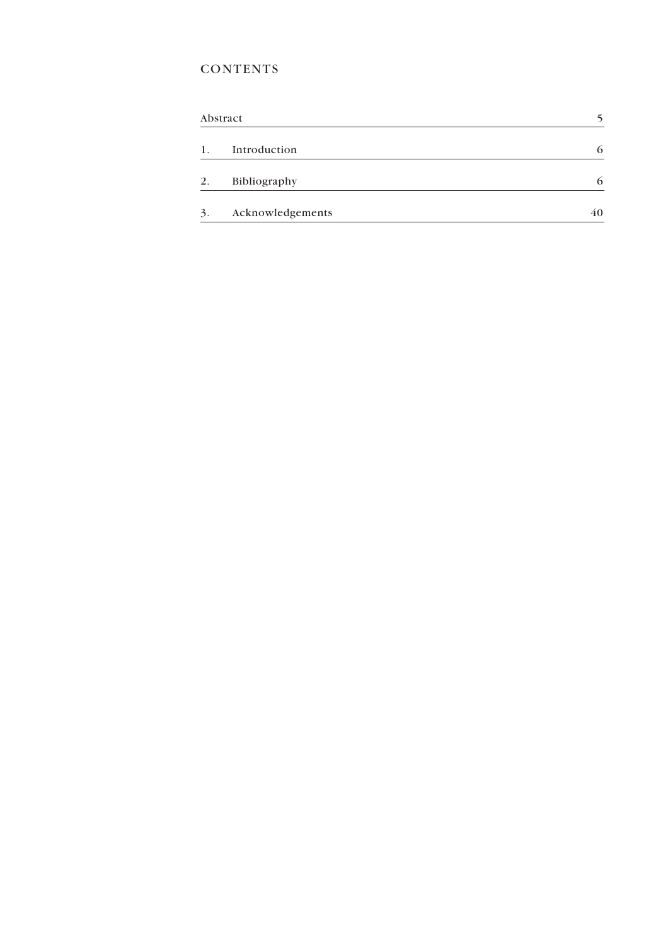### **CONTENTS**

| Abstract |                  |    |
|----------|------------------|----|
| 1.       | Introduction     | 6  |
| 2.       | Bibliography     | 6  |
| 3.       | Acknowledgements | 40 |
|          |                  |    |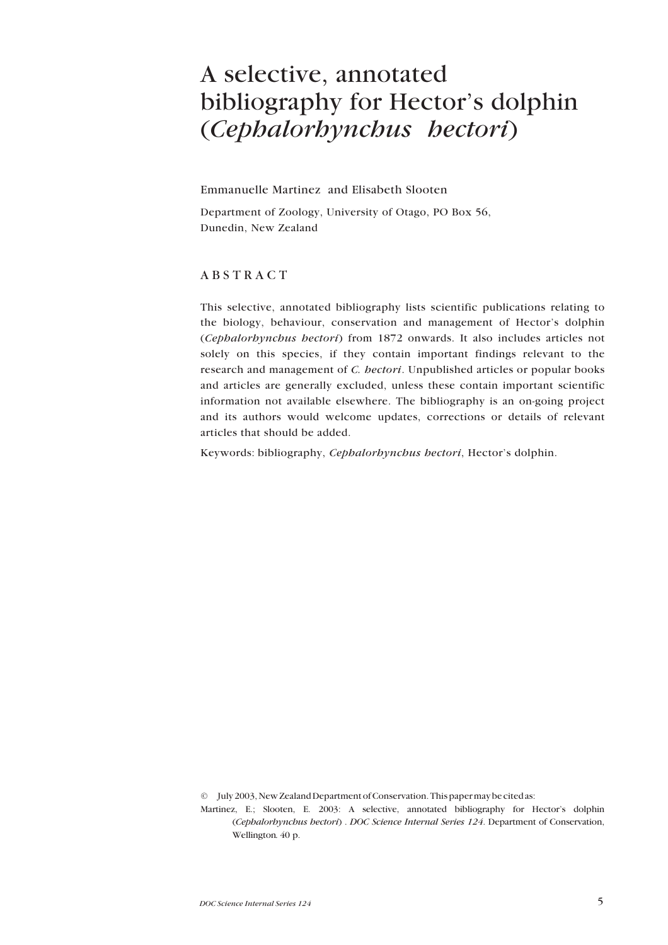## <span id="page-3-0"></span>A selective, annotated bibliography for Hector's dolphin (*Cephalorhynchus hectori*)

Emmanuelle Martinez and Elisabeth Slooten

Department of Zoology, University of Otago, PO Box 56, Dunedin, New Zealand

### ABSTRACT

This selective, annotated bibliography lists scientific publications relating to the biology, behaviour, conservation and management of Hector's dolphin (*Cephalorhynchus hectori*) from 1872 onwards. It also includes articles not solely on this species, if they contain important findings relevant to the research and management of *C. hectori*. Unpublished articles or popular books and articles are generally excluded, unless these contain important scientific information not available elsewhere. The bibliography is an on-going project and its authors would welcome updates, corrections or details of relevant articles that should be added.

Keywords: bibliography, *Cephalorhynchus hectori*, Hector's dolphin.

© July 2003, New Zealand Department of Conservation. This paper may be cited as:

Martinez, E.; Slooten, E. 2003: A selective, annotated bibliography for Hector's dolphin (*Cephalorhynchus hectori*) . *DOC Science Internal Series 124*. Department of Conservation, Wellington*.* 40 p.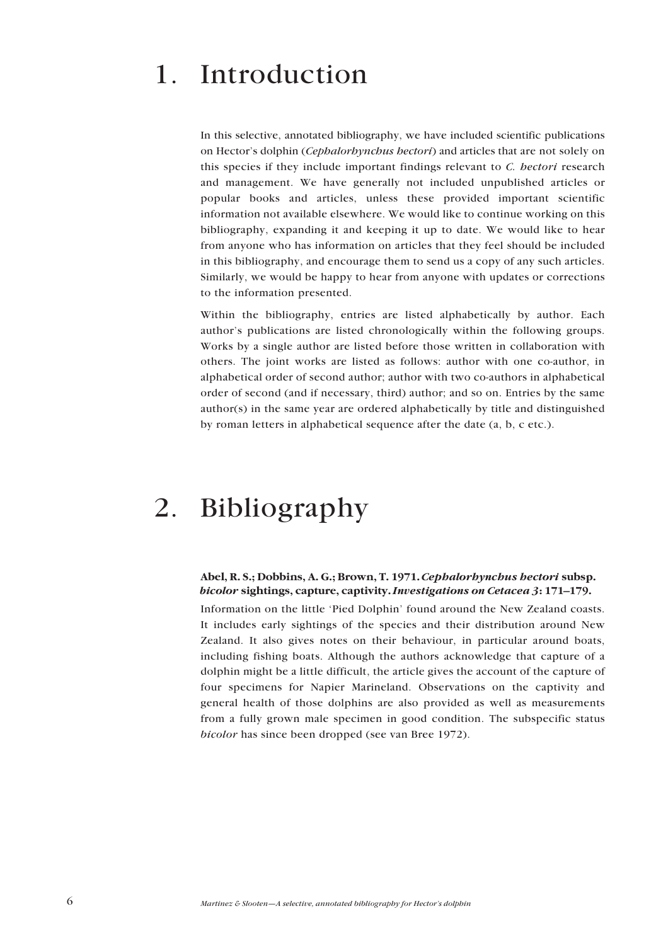# <span id="page-4-0"></span>1. Introduction

In this selective, annotated bibliography, we have included scientific publications on Hectorís dolphin (*Cephalorhynchus hectori*) and articles that are not solely on this species if they include important findings relevant to *C. hectori* research and management. We have generally not included unpublished articles or popular books and articles, unless these provided important scientific information not available elsewhere. We would like to continue working on this bibliography, expanding it and keeping it up to date. We would like to hear from anyone who has information on articles that they feel should be included in this bibliography, and encourage them to send us a copy of any such articles. Similarly, we would be happy to hear from anyone with updates or corrections to the information presented.

Within the bibliography, entries are listed alphabetically by author. Each author's publications are listed chronologically within the following groups. Works by a single author are listed before those written in collaboration with others. The joint works are listed as follows: author with one co-author, in alphabetical order of second author; author with two co-authors in alphabetical order of second (and if necessary, third) author; and so on. Entries by the same author(s) in the same year are ordered alphabetically by title and distinguished by roman letters in alphabetical sequence after the date (a, b, c etc.).

## 2. Bibliography

### **Abel, R. S.; Dobbins, A. G.; Brown, T. 1971.** *Cephalorhynchus hectori* **subsp.** *bicolor* sightings, capture, captivity. *Investigations on Cetacea* 3:171–179.

Information on the little 'Pied Dolphin' found around the New Zealand coasts. It includes early sightings of the species and their distribution around New Zealand. It also gives notes on their behaviour, in particular around boats, including fishing boats. Although the authors acknowledge that capture of a dolphin might be a little difficult, the article gives the account of the capture of four specimens for Napier Marineland. Observations on the captivity and general health of those dolphins are also provided as well as measurements from a fully grown male specimen in good condition. The subspecific status *bicolor* has since been dropped (see van Bree 1972).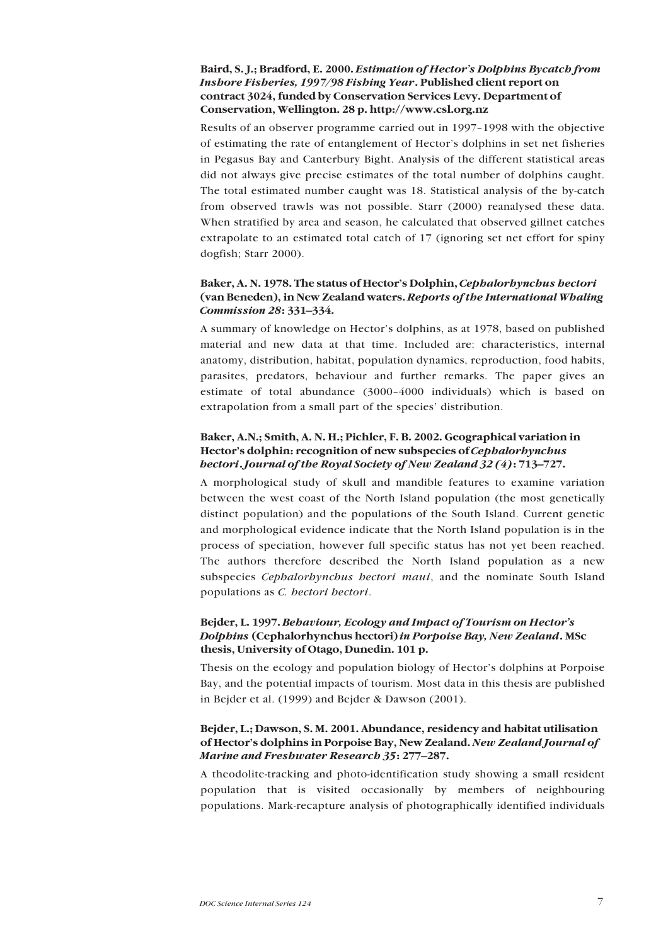### **Baird, S. J.; Bradford, E. 2000.** *Estimation of Hectorís Dolphins Bycatch from Inshore Fisheries, 1997/98 Fishing Year***. Published client report on contract 3024, funded by Conservation Services Levy. Department of Conservation, Wellington. 28 p. http://www.csl.org.nz**

Results of an observer programme carried out in 1997–1998 with the objective of estimating the rate of entanglement of Hector's dolphins in set net fisheries in Pegasus Bay and Canterbury Bight. Analysis of the different statistical areas did not always give precise estimates of the total number of dolphins caught. The total estimated number caught was 18. Statistical analysis of the by-catch from observed trawls was not possible. Starr (2000) reanalysed these data. When stratified by area and season, he calculated that observed gillnet catches extrapolate to an estimated total catch of 17 (ignoring set net effort for spiny dogfish; Starr 2000).

### **Baker, A. N. 1978. The status of Hectorís Dolphin,** *Cephalorhynchus hectori* **(van Beneden), in New Zealand waters.** *Reports of the International Whaling Commission 28*: 331-334.

A summary of knowledge on Hector's dolphins, as at 1978, based on published material and new data at that time. Included are: characteristics, internal anatomy, distribution, habitat, population dynamics, reproduction, food habits, parasites, predators, behaviour and further remarks. The paper gives an estimate of total abundance (3000-4000 individuals) which is based on extrapolation from a small part of the species' distribution.

### **Baker, A.N.; Smith, A. N. H.; Pichler, F. B. 2002. Geographical variation in** Hector's dolphin: recognition of new subspecies of *Cephalorhynchus hectori***.** *Journal of the Royal Society of New Zealand 32 (4)***:** 713–727.

A morphological study of skull and mandible features to examine variation between the west coast of the North Island population (the most genetically distinct population) and the populations of the South Island. Current genetic and morphological evidence indicate that the North Island population is in the process of speciation, however full specific status has not yet been reached. The authors therefore described the North Island population as a new subspecies *Cephalorhynchus hectori maui*, and the nominate South Island populations as *C. hectori hectori*.

### **Bejder, L. 1997.** *Behaviour, Ecology and Impact of Tourism on Hectorís Dolphins* **(Cephalorhynchus hectori)** *in Porpoise Bay, New Zealand***. MSc thesis, University of Otago, Dunedin. 101 p.**

Thesis on the ecology and population biology of Hector's dolphins at Porpoise Bay, and the potential impacts of tourism. Most data in this thesis are published in Bejder et al. (1999) and Bejder & Dawson (2001).

### **Bejder, L.; Dawson, S. M. 2001. Abundance, residency and habitat utilisation of Hectorís dolphins in Porpoise Bay, New Zealand.** *New Zealand Journal of Marine and Freshwater Research 35*: 277–287.

A theodolite-tracking and photo-identification study showing a small resident population that is visited occasionally by members of neighbouring populations. Mark-recapture analysis of photographically identified individuals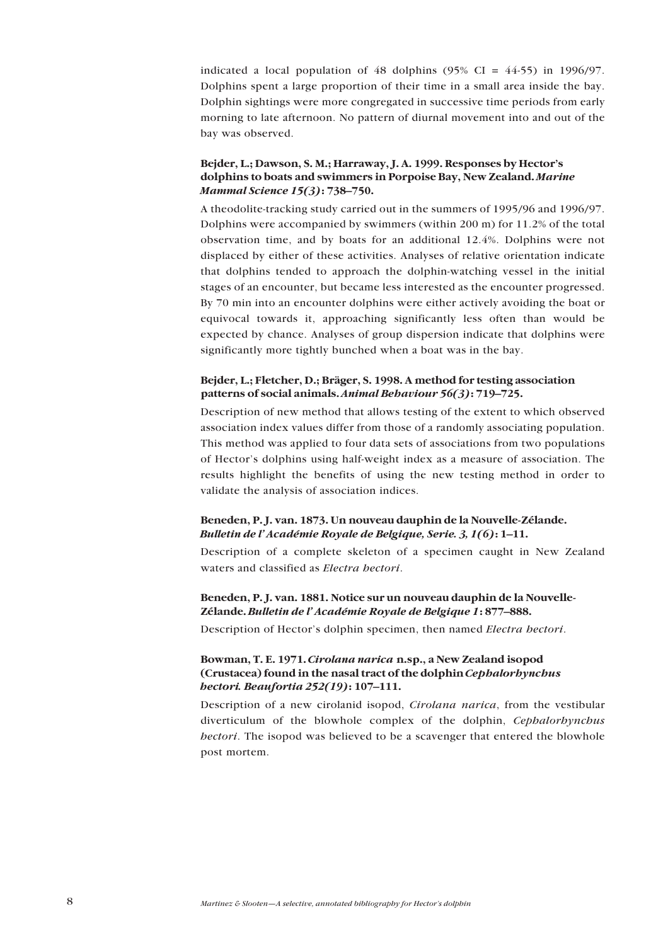indicated a local population of 48 dolphins  $(95\% \text{ CI} = 44-55)$  in 1996/97. Dolphins spent a large proportion of their time in a small area inside the bay. Dolphin sightings were more congregated in successive time periods from early morning to late afternoon. No pattern of diurnal movement into and out of the bay was observed.

### Bejder, L.; Dawson, S. M.; Harraway, J. A. 1999. Responses by Hector's **dolphins to boats and swimmers in Porpoise Bay, New Zealand.** *Marine Mammal Science 15(3)***:** 738-750.

A theodolite-tracking study carried out in the summers of 1995/96 and 1996/97. Dolphins were accompanied by swimmers (within 200 m) for 11.2% of the total observation time, and by boats for an additional 12.4%. Dolphins were not displaced by either of these activities. Analyses of relative orientation indicate that dolphins tended to approach the dolphin-watching vessel in the initial stages of an encounter, but became less interested as the encounter progressed. By 70 min into an encounter dolphins were either actively avoiding the boat or equivocal towards it, approaching significantly less often than would be expected by chance. Analyses of group dispersion indicate that dolphins were significantly more tightly bunched when a boat was in the bay.

### Bejder, L.; Fletcher, D.; Bräger, S. 1998. A method for testing association **patterns of social animals. Animal Behaviour 56(3): 719–725.**

Description of new method that allows testing of the extent to which observed association index values differ from those of a randomly associating population. This method was applied to four data sets of associations from two populations of Hector's dolphins using half-weight index as a measure of association. The results highlight the benefits of using the new testing method in order to validate the analysis of association indices.

### **Beneden, P. J. van. 1873. Un nouveau dauphin de la Nouvelle-ZÈlande.** *Bulletin de l'Académie Royale de Belgique, Serie. 3, 1(6)***:** 1–11.

Description of a complete skeleton of a specimen caught in New Zealand waters and classified as *Electra hectori*.

### **Beneden, P. J. van. 1881. Notice sur un nouveau dauphin de la Nouvelle-**Zélande. Bulletin de l'Académie Royale de Belgique 1:877-888.

Description of Hectorís dolphin specimen, then named *Electra hectori*.

### **Bowman, T. E. 1971.** *Cirolana narica* **n.sp., a New Zealand isopod (Crustacea) found in the nasal tract of the dolphin** *Cephalorhynchus hectori. Beaufortia 252(19)***:** 107-111.

Description of a new cirolanid isopod, *Cirolana narica*, from the vestibular diverticulum of the blowhole complex of the dolphin, *Cephalorhynchus hectori*. The isopod was believed to be a scavenger that entered the blowhole post mortem.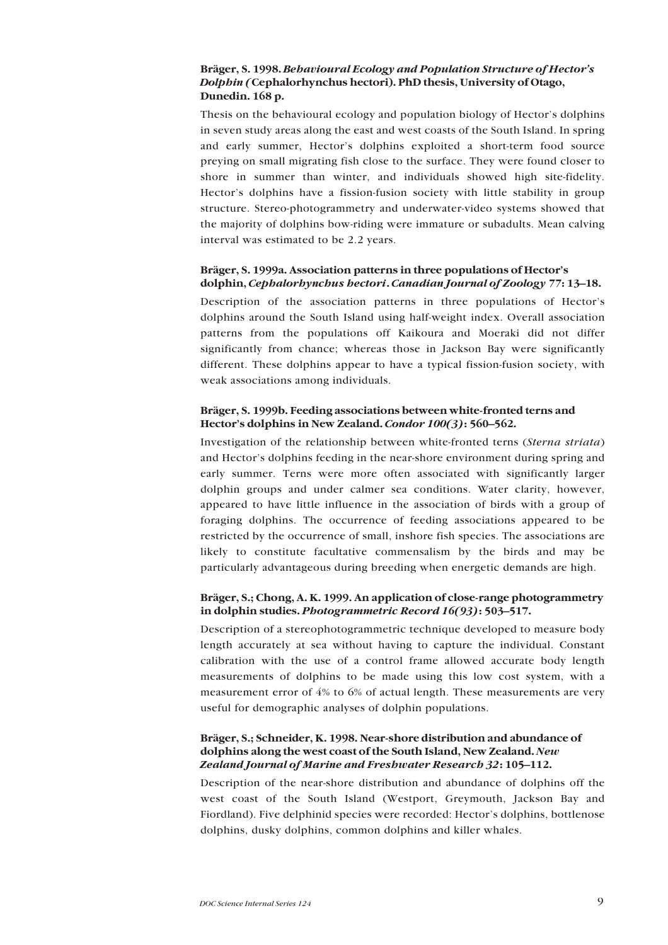### **Bräger, S. 1998.** *Behavioural Ecology and Population Structure of Hector's Dolphin (***Cephalorhynchus hectori). PhD thesis, University of Otago, Dunedin. 168 p.**

Thesis on the behavioural ecology and population biology of Hector's dolphins in seven study areas along the east and west coasts of the South Island. In spring and early summer, Hector's dolphins exploited a short-term food source preying on small migrating fish close to the surface. They were found closer to shore in summer than winter, and individuals showed high site-fidelity. Hector's dolphins have a fission-fusion society with little stability in group structure. Stereo-photogrammetry and underwater-video systems showed that the majority of dolphins bow-riding were immature or subadults. Mean calving interval was estimated to be 2.2 years.

### Bräger, S. 1999a. Association patterns in three populations of Hector's dolphin, *Cephalorhynchus hectori***.** *Canadian Journal of Zoology 77***: 13–18.**

Description of the association patterns in three populations of Hector's dolphins around the South Island using half-weight index. Overall association patterns from the populations off Kaikoura and Moeraki did not differ significantly from chance; whereas those in Jackson Bay were significantly different. These dolphins appear to have a typical fission-fusion society, with weak associations among individuals.

### Bräger, S. 1999b. Feeding associations between white-fronted terns and **Hector's dolphins in New Zealand.** *Condor 100(3)***<b>:** 560–562.

Investigation of the relationship between white-fronted terns (*Sterna striata*) and Hector's dolphins feeding in the near-shore environment during spring and early summer. Terns were more often associated with significantly larger dolphin groups and under calmer sea conditions. Water clarity, however, appeared to have little influence in the association of birds with a group of foraging dolphins. The occurrence of feeding associations appeared to be restricted by the occurrence of small, inshore fish species. The associations are likely to constitute facultative commensalism by the birds and may be particularly advantageous during breeding when energetic demands are high.

### Bräger, S.; Chong, A. K. 1999. An application of close-range photogrammetry **in dolphin studies.** *Photogrammetric Record 16(93)***<b>: 503-517.**

Description of a stereophotogrammetric technique developed to measure body length accurately at sea without having to capture the individual. Constant calibration with the use of a control frame allowed accurate body length measurements of dolphins to be made using this low cost system, with a measurement error of 4% to 6% of actual length. These measurements are very useful for demographic analyses of dolphin populations.

### Bräger, S.: Schneider, K. 1998. Near-shore distribution and abundance of **dolphins along the west coast of the South Island, New Zealand.** *New Zealand Journal of Marine and Freshwater Research 32***:** 105–112.

Description of the near-shore distribution and abundance of dolphins off the west coast of the South Island (Westport, Greymouth, Jackson Bay and Fiordland). Five delphinid species were recorded: Hector's dolphins, bottlenose dolphins, dusky dolphins, common dolphins and killer whales.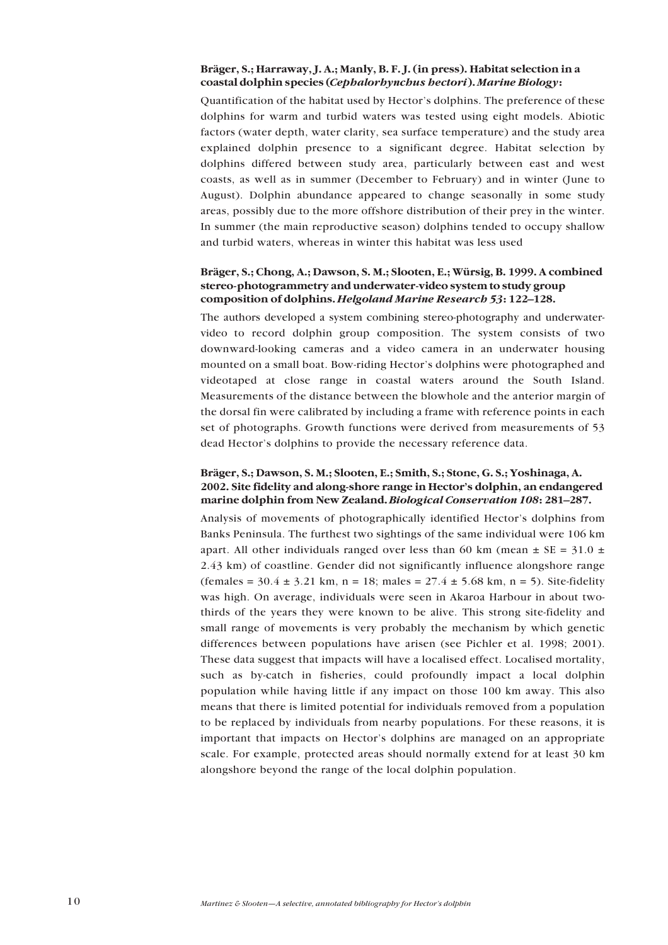### **Br‰ger, S.; Harraway, J. A.; Manly, B. F. J. (in press). Habitat selection in a coastal dolphin species (***Cephalorhynchus hectori***).** *Marine Biology***:**

Quantification of the habitat used by Hector's dolphins. The preference of these dolphins for warm and turbid waters was tested using eight models. Abiotic factors (water depth, water clarity, sea surface temperature) and the study area explained dolphin presence to a significant degree. Habitat selection by dolphins differed between study area, particularly between east and west coasts, as well as in summer (December to February) and in winter (June to August). Dolphin abundance appeared to change seasonally in some study areas, possibly due to the more offshore distribution of their prey in the winter. In summer (the main reproductive season) dolphins tended to occupy shallow and turbid waters, whereas in winter this habitat was less used

### Bräger, S.; Chong, A.; Dawson, S. M.; Slooten, E.; Würsig, B. 1999. A combined **stereo-photogrammetry and underwater-video system to study group** composition of dolphins. *Helgoland Marine Research* 53: 122-128.

The authors developed a system combining stereo-photography and underwatervideo to record dolphin group composition. The system consists of two downward-looking cameras and a video camera in an underwater housing mounted on a small boat. Bow-riding Hector's dolphins were photographed and videotaped at close range in coastal waters around the South Island. Measurements of the distance between the blowhole and the anterior margin of the dorsal fin were calibrated by including a frame with reference points in each set of photographs. Growth functions were derived from measurements of 53 dead Hector's dolphins to provide the necessary reference data.

### Bräger, S.; Dawson, S. M.; Slooten, E.; Smith, S.; Stone, G. S.; Yoshinaga, A. **2002. Site fidelity and along-shore range in Hectorís dolphin, an endangered marine dolphin from New Zealand.** *Biological Conservation 108***: 281–287.**

Analysis of movements of photographically identified Hector's dolphins from Banks Peninsula. The furthest two sightings of the same individual were 106 km apart. All other individuals ranged over less than 60 km (mean  $\pm$  SE = 31.0  $\pm$ 2.43 km) of coastline. Gender did not significantly influence alongshore range  $(\text{female} = 30.4 \pm 3.21 \text{ km}, n = 18; \text{ males} = 27.4 \pm 5.68 \text{ km}, n = 5)$ . Site-fidelity was high. On average, individuals were seen in Akaroa Harbour in about twothirds of the years they were known to be alive. This strong site-fidelity and small range of movements is very probably the mechanism by which genetic differences between populations have arisen (see Pichler et al. 1998; 2001). These data suggest that impacts will have a localised effect. Localised mortality, such as by-catch in fisheries, could profoundly impact a local dolphin population while having little if any impact on those 100 km away. This also means that there is limited potential for individuals removed from a population to be replaced by individuals from nearby populations. For these reasons, it is important that impacts on Hector's dolphins are managed on an appropriate scale. For example, protected areas should normally extend for at least 30 km alongshore beyond the range of the local dolphin population.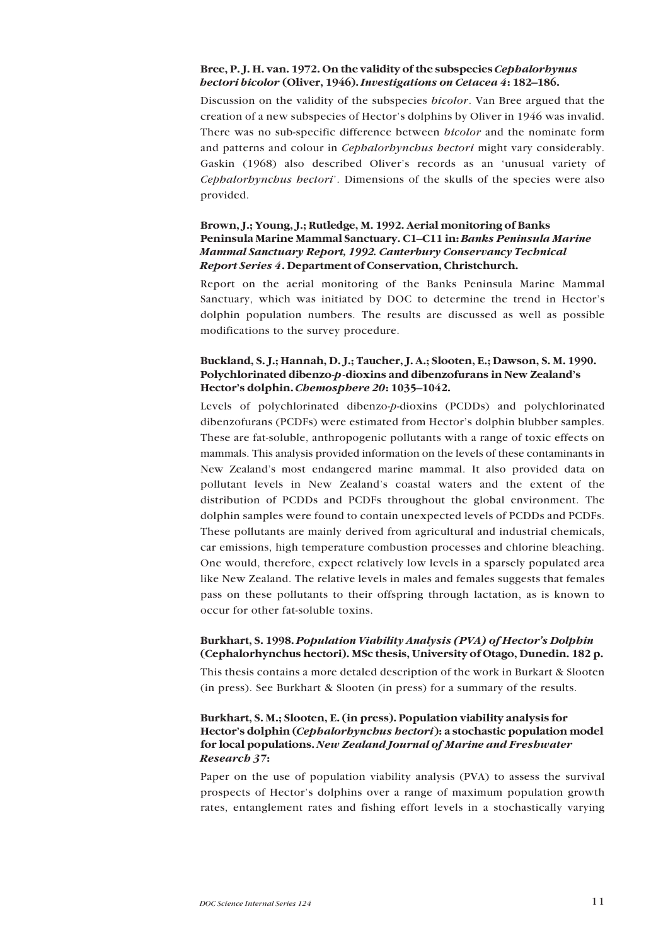### **Bree, P. J. H. van. 1972. On the validity of the subspecies** *Cephalorhynus hectori bicolor* (Oliver, 1946). *Investigations on Cetacea 4***:** 182–186.

Discussion on the validity of the subspecies *bicolor*. Van Bree argued that the creation of a new subspecies of Hector's dolphins by Oliver in 1946 was invalid. There was no sub-specific difference between *bicolor* and the nominate form and patterns and colour in *Cephalorhynchus hectori* might vary considerably. Gaskin (1968) also described Oliver's records as an 'unusual variety of *Cephalorhynchus hectori*í. Dimensions of the skulls of the species were also provided.

### **Brown, J.; Young, J.; Rutledge, M. 1992. Aerial monitoring of Banks** Peninsula Marine Mammal Sanctuary. C1-C11 in: Banks Peninsula Marine *Mammal Sanctuary Report, 1992. Canterbury Conservancy Technical Report Series 4***. Department of Conservation, Christchurch.**

Report on the aerial monitoring of the Banks Peninsula Marine Mammal Sanctuary, which was initiated by DOC to determine the trend in Hector's dolphin population numbers. The results are discussed as well as possible modifications to the survey procedure.

### **Buckland, S. J.; Hannah, D. J.; Taucher, J. A.; Slooten, E.; Dawson, S. M. 1990. Polychlorinated dibenzo-***p***-dioxins and dibenzofurans in New Zealandís Hector's dolphin.** *Chemosphere 20***:** 1035-1042.

Levels of polychlorinated dibenzo-*p*-dioxins (PCDDs) and polychlorinated dibenzofurans (PCDFs) were estimated from Hector's dolphin blubber samples. These are fat-soluble, anthropogenic pollutants with a range of toxic effects on mammals. This analysis provided information on the levels of these contaminants in New Zealandís most endangered marine mammal. It also provided data on pollutant levels in New Zealand's coastal waters and the extent of the distribution of PCDDs and PCDFs throughout the global environment. The dolphin samples were found to contain unexpected levels of PCDDs and PCDFs. These pollutants are mainly derived from agricultural and industrial chemicals, car emissions, high temperature combustion processes and chlorine bleaching. One would, therefore, expect relatively low levels in a sparsely populated area like New Zealand. The relative levels in males and females suggests that females pass on these pollutants to their offspring through lactation, as is known to occur for other fat-soluble toxins.

### **Burkhart, S. 1998.** *Population Viability Analysis (PVA) of Hectorís Dolphin* **(Cephalorhynchus hectori). MSc thesis, University of Otago, Dunedin. 182 p.**

This thesis contains a more detaled description of the work in Burkart & Slooten (in press). See Burkhart & Slooten (in press) for a summary of the results.

### **Burkhart, S. M.; Slooten, E. (in press). Population viability analysis for Hectorís dolphin (***Cephalorhynchus hectori***): a stochastic population model for local populations.** *New Zealand Journal of Marine and Freshwater Research 37***:**

Paper on the use of population viability analysis (PVA) to assess the survival prospects of Hector's dolphins over a range of maximum population growth rates, entanglement rates and fishing effort levels in a stochastically varying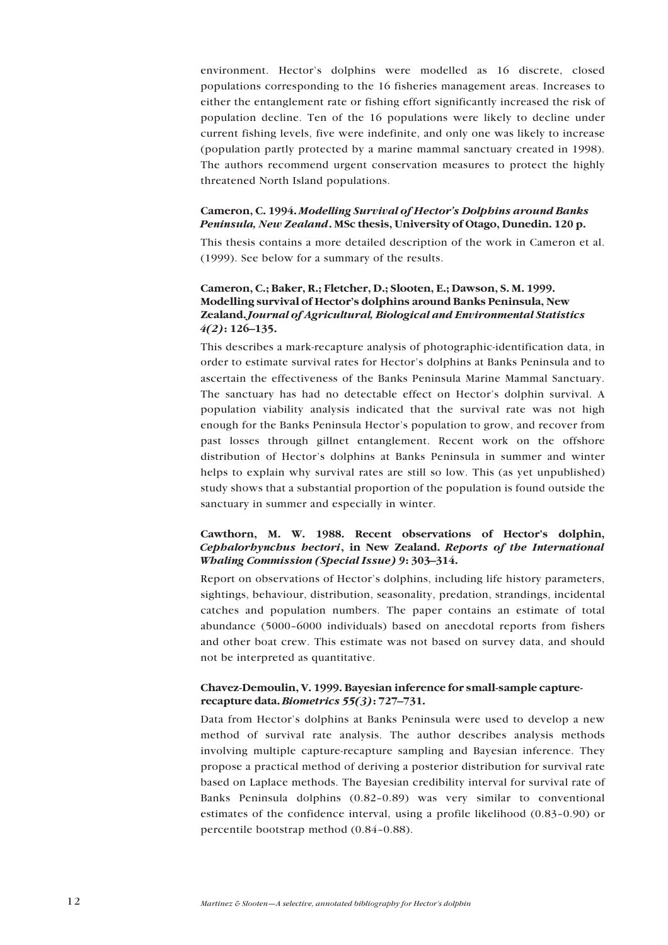environment. Hector's dolphins were modelled as 16 discrete, closed populations corresponding to the 16 fisheries management areas. Increases to either the entanglement rate or fishing effort significantly increased the risk of population decline. Ten of the 16 populations were likely to decline under current fishing levels, five were indefinite, and only one was likely to increase (population partly protected by a marine mammal sanctuary created in 1998). The authors recommend urgent conservation measures to protect the highly threatened North Island populations.

### **Cameron, C. 1994.** *Modelling Survival of Hectorís Dolphins around Banks Peninsula, New Zealand***. MSc thesis, University of Otago, Dunedin. 120 p.**

This thesis contains a more detailed description of the work in Cameron et al. (1999). See below for a summary of the results.

### **Cameron, C.; Baker, R.; Fletcher, D.; Slooten, E.; Dawson, S. M. 1999. Modelling survival of Hectorís dolphins around Banks Peninsula, New Zealand.** *Journal of Agricultural, Biological and Environmental Statistics 4*(2)**:** 126–135.

This describes a mark-recapture analysis of photographic-identification data, in order to estimate survival rates for Hector's dolphins at Banks Peninsula and to ascertain the effectiveness of the Banks Peninsula Marine Mammal Sanctuary. The sanctuary has had no detectable effect on Hector's dolphin survival. A population viability analysis indicated that the survival rate was not high enough for the Banks Peninsula Hector's population to grow, and recover from past losses through gillnet entanglement. Recent work on the offshore distribution of Hector's dolphins at Banks Peninsula in summer and winter helps to explain why survival rates are still so low. This (as yet unpublished) study shows that a substantial proportion of the population is found outside the sanctuary in summer and especially in winter.

### Cawthorn, M. W. 1988. Recent observations of Hector's dolphin, *Cephalorhynchus hectori***, in New Zealand.** *Reports of the International Whaling Commission (Special Issue) 9*: 303-314.

Report on observations of Hector's dolphins, including life history parameters, sightings, behaviour, distribution, seasonality, predation, strandings, incidental catches and population numbers. The paper contains an estimate of total abundance (5000-6000 individuals) based on anecdotal reports from fishers and other boat crew. This estimate was not based on survey data, and should not be interpreted as quantitative.

### **Chavez-Demoulin, V. 1999. Bayesian inference for small-sample capturerecapture data.** *Biometrics* **55(3): 727–731.**

Data from Hector's dolphins at Banks Peninsula were used to develop a new method of survival rate analysis. The author describes analysis methods involving multiple capture-recapture sampling and Bayesian inference. They propose a practical method of deriving a posterior distribution for survival rate based on Laplace methods. The Bayesian credibility interval for survival rate of Banks Peninsula dolphins  $(0.82-0.89)$  was very similar to conventional estimates of the confidence interval, using a profile likelihood  $(0.83-0.90)$  or percentile bootstrap method  $(0.84-0.88)$ .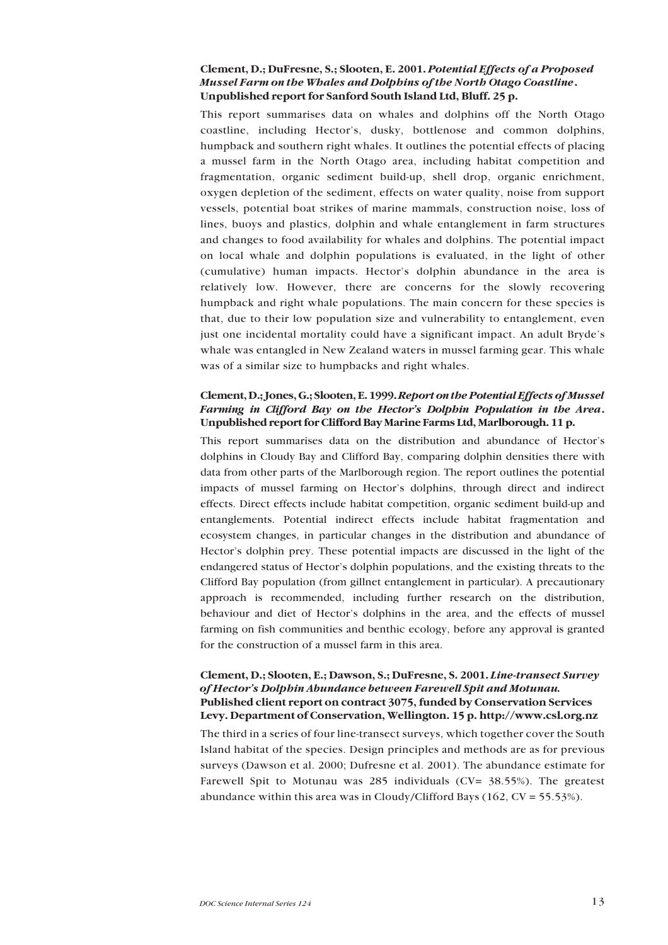### **Clement, D.; DuFresne, S.; Slooten, E. 2001.** *Potential Effects of a Proposed Mussel Farm on the Whales and Dolphins of the North Otago Coastline***. Unpublished report for Sanford South Island Ltd, Bluff. 25 p.**

This report summarises data on whales and dolphins off the North Otago coastline, including Hector's, dusky, bottlenose and common dolphins, humpback and southern right whales. It outlines the potential effects of placing a mussel farm in the North Otago area, including habitat competition and fragmentation, organic sediment build-up, shell drop, organic enrichment, oxygen depletion of the sediment, effects on water quality, noise from support vessels, potential boat strikes of marine mammals, construction noise, loss of lines, buoys and plastics, dolphin and whale entanglement in farm structures and changes to food availability for whales and dolphins. The potential impact on local whale and dolphin populations is evaluated, in the light of other (cumulative) human impacts. Hectorís dolphin abundance in the area is relatively low. However, there are concerns for the slowly recovering humpback and right whale populations. The main concern for these species is that, due to their low population size and vulnerability to entanglement, even just one incidental mortality could have a significant impact. An adult Bryde's whale was entangled in New Zealand waters in mussel farming gear. This whale was of a similar size to humpbacks and right whales.

### **Clement, D.; Jones, G.; Slooten, E. 1999.** *Report on the Potential Effects of Mussel Farming in Clifford Bay on the Hectorís Dolphin Population in the Area***. Unpublished report for Clifford Bay Marine Farms Ltd, Marlborough. 11 p.**

This report summarises data on the distribution and abundance of Hector's dolphins in Cloudy Bay and Clifford Bay, comparing dolphin densities there with data from other parts of the Marlborough region. The report outlines the potential impacts of mussel farming on Hector's dolphins, through direct and indirect effects. Direct effects include habitat competition, organic sediment build-up and entanglements. Potential indirect effects include habitat fragmentation and ecosystem changes, in particular changes in the distribution and abundance of Hector's dolphin prey. These potential impacts are discussed in the light of the endangered status of Hector's dolphin populations, and the existing threats to the Clifford Bay population (from gillnet entanglement in particular). A precautionary approach is recommended, including further research on the distribution, behaviour and diet of Hector's dolphins in the area, and the effects of mussel farming on fish communities and benthic ecology, before any approval is granted for the construction of a mussel farm in this area.

### **Clement, D.; Slooten, E.; Dawson, S.; DuFresne, S. 2001.** *Line-transect Survey of Hectorís Dolphin Abundance between Farewell Spit and Motunau.* **Published client report on contract 3075, funded by Conservation Services Levy. Department of Conservation, Wellington. 15 p. http://www.csl.org.nz**

The third in a series of four line-transect surveys, which together cover the South Island habitat of the species. Design principles and methods are as for previous surveys (Dawson et al. 2000; Dufresne et al. 2001). The abundance estimate for Farewell Spit to Motunau was 285 individuals (CV= 38.55%). The greatest abundance within this area was in Cloudy/Clifford Bays (162,  $CV = 55.53\%$ ).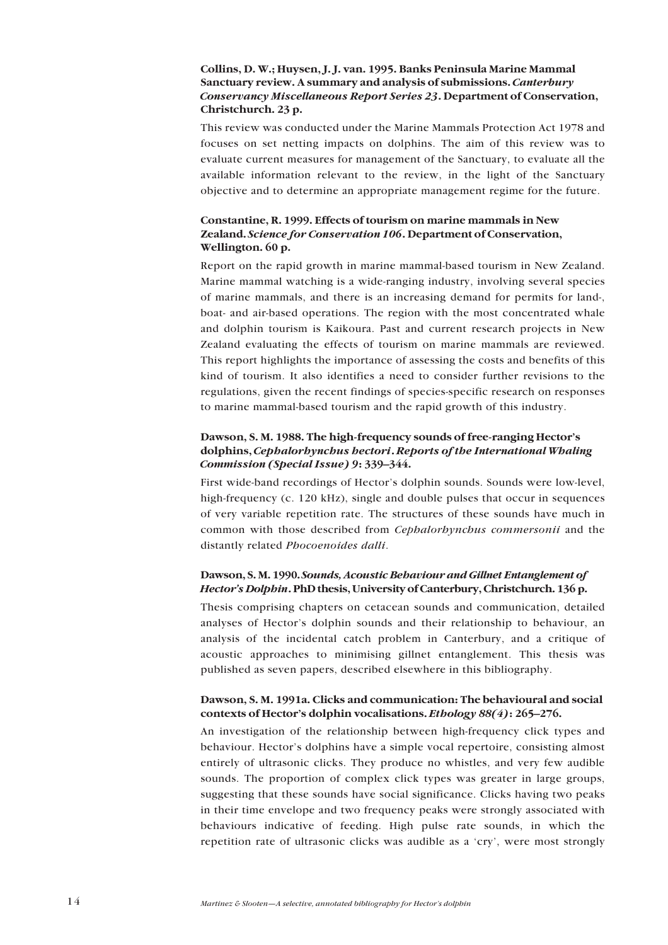### **Collins, D. W.; Huysen, J. J. van. 1995. Banks Peninsula Marine Mammal Sanctuary review. A summary and analysis of submissions.** *Canterbury Conservancy Miscellaneous Report Series 23***. Department of Conservation, Christchurch. 23 p.**

This review was conducted under the Marine Mammals Protection Act 1978 and focuses on set netting impacts on dolphins. The aim of this review was to evaluate current measures for management of the Sanctuary, to evaluate all the available information relevant to the review, in the light of the Sanctuary objective and to determine an appropriate management regime for the future.

### **Constantine, R. 1999. Effects of tourism on marine mammals in New Zealand.** *Science for Conservation 106***. Department of Conservation, Wellington. 60 p.**

Report on the rapid growth in marine mammal-based tourism in New Zealand. Marine mammal watching is a wide-ranging industry, involving several species of marine mammals, and there is an increasing demand for permits for land-, boat- and air-based operations. The region with the most concentrated whale and dolphin tourism is Kaikoura. Past and current research projects in New Zealand evaluating the effects of tourism on marine mammals are reviewed. This report highlights the importance of assessing the costs and benefits of this kind of tourism. It also identifies a need to consider further revisions to the regulations, given the recent findings of species-specific research on responses to marine mammal-based tourism and the rapid growth of this industry.

### **Dawson, S. M. 1988. The high-frequency sounds of free-ranging Hectorís dolphins,** *Cephalorhynchus hectori***.** *Reports of the International Whaling Commission (Special Issue) 9*: 339–344.

First wide-band recordings of Hector's dolphin sounds. Sounds were low-level, high-frequency (c. 120 kHz), single and double pulses that occur in sequences of very variable repetition rate. The structures of these sounds have much in common with those described from *Cephalorhynchus commersonii* and the distantly related *Phocoenoides dalli*.

### **Dawson, S. M. 1990.** *Sounds, Acoustic Behaviour and Gillnet Entanglement of Hectorís Dolphin***. PhD thesis, University of Canterbury, Christchurch. 136 p.**

Thesis comprising chapters on cetacean sounds and communication, detailed analyses of Hector's dolphin sounds and their relationship to behaviour, an analysis of the incidental catch problem in Canterbury, and a critique of acoustic approaches to minimising gillnet entanglement. This thesis was published as seven papers, described elsewhere in this bibliography.

### **Dawson, S. M. 1991a. Clicks and communication: The behavioural and social contexts of Hector's dolphin vocalisations.** *Ethology 88(4)***: 265–276.**

An investigation of the relationship between high-frequency click types and behaviour. Hector's dolphins have a simple vocal repertoire, consisting almost entirely of ultrasonic clicks. They produce no whistles, and very few audible sounds. The proportion of complex click types was greater in large groups, suggesting that these sounds have social significance. Clicks having two peaks in their time envelope and two frequency peaks were strongly associated with behaviours indicative of feeding. High pulse rate sounds, in which the repetition rate of ultrasonic clicks was audible as a 'cry', were most strongly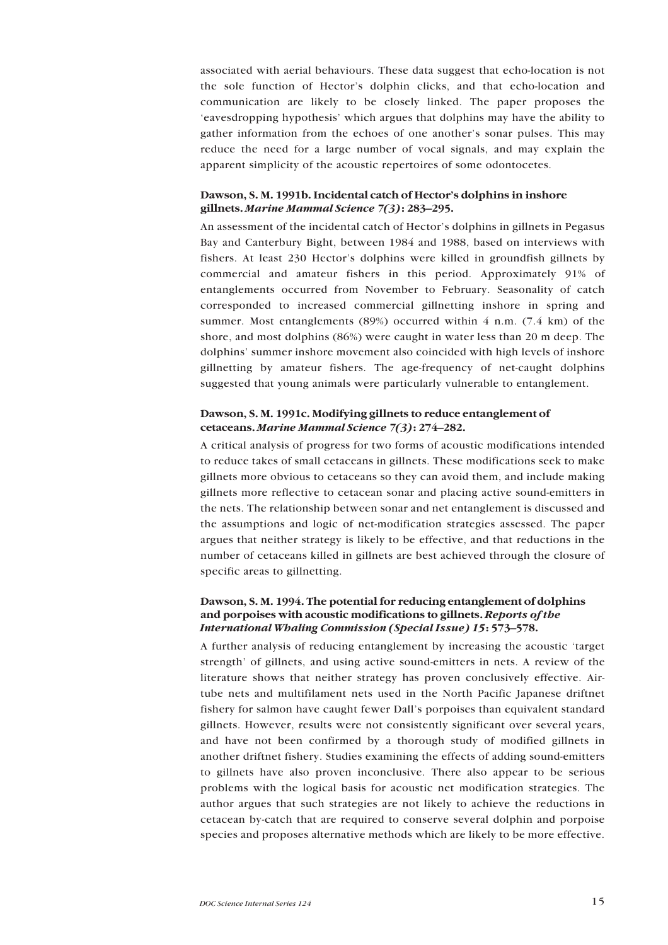associated with aerial behaviours. These data suggest that echo-location is not the sole function of Hector's dolphin clicks, and that echo-location and communication are likely to be closely linked. The paper proposes the ëeavesdropping hypothesisí which argues that dolphins may have the ability to gather information from the echoes of one another's sonar pulses. This may reduce the need for a large number of vocal signals, and may explain the apparent simplicity of the acoustic repertoires of some odontocetes.

#### Dawson, S. M. 1991b. Incidental catch of Hector's dolphins in inshore gillnets. *Marine Mammal Science* 7(3): 283-295.

An assessment of the incidental catch of Hector's dolphins in gillnets in Pegasus Bay and Canterbury Bight, between 1984 and 1988, based on interviews with fishers. At least 230 Hector's dolphins were killed in groundfish gillnets by commercial and amateur fishers in this period. Approximately 91% of entanglements occurred from November to February. Seasonality of catch corresponded to increased commercial gillnetting inshore in spring and summer. Most entanglements (89%) occurred within  $4$  n.m. (7.4 km) of the shore, and most dolphins (86%) were caught in water less than 20 m deep. The dolphins' summer inshore movement also coincided with high levels of inshore gillnetting by amateur fishers. The age-frequency of net-caught dolphins suggested that young animals were particularly vulnerable to entanglement.

### **Dawson, S. M. 1991c. Modifying gillnets to reduce entanglement of cetaceans.** *Marine Mammal Science* 7(3)**:** 274-282.

A critical analysis of progress for two forms of acoustic modifications intended to reduce takes of small cetaceans in gillnets. These modifications seek to make gillnets more obvious to cetaceans so they can avoid them, and include making gillnets more reflective to cetacean sonar and placing active sound-emitters in the nets. The relationship between sonar and net entanglement is discussed and the assumptions and logic of net-modification strategies assessed. The paper argues that neither strategy is likely to be effective, and that reductions in the number of cetaceans killed in gillnets are best achieved through the closure of specific areas to gillnetting.

### **Dawson, S. M. 1994. The potential for reducing entanglement of dolphins and porpoises with acoustic modifications to gillnets.** *Reports of the International Whaling Commission (Special Issue) 15*: 573-578.

A further analysis of reducing entanglement by increasing the acoustic ëtarget strength' of gillnets, and using active sound-emitters in nets. A review of the literature shows that neither strategy has proven conclusively effective. Airtube nets and multifilament nets used in the North Pacific Japanese driftnet fishery for salmon have caught fewer Dall's porpoises than equivalent standard gillnets. However, results were not consistently significant over several years, and have not been confirmed by a thorough study of modified gillnets in another driftnet fishery. Studies examining the effects of adding sound-emitters to gillnets have also proven inconclusive. There also appear to be serious problems with the logical basis for acoustic net modification strategies. The author argues that such strategies are not likely to achieve the reductions in cetacean by-catch that are required to conserve several dolphin and porpoise species and proposes alternative methods which are likely to be more effective.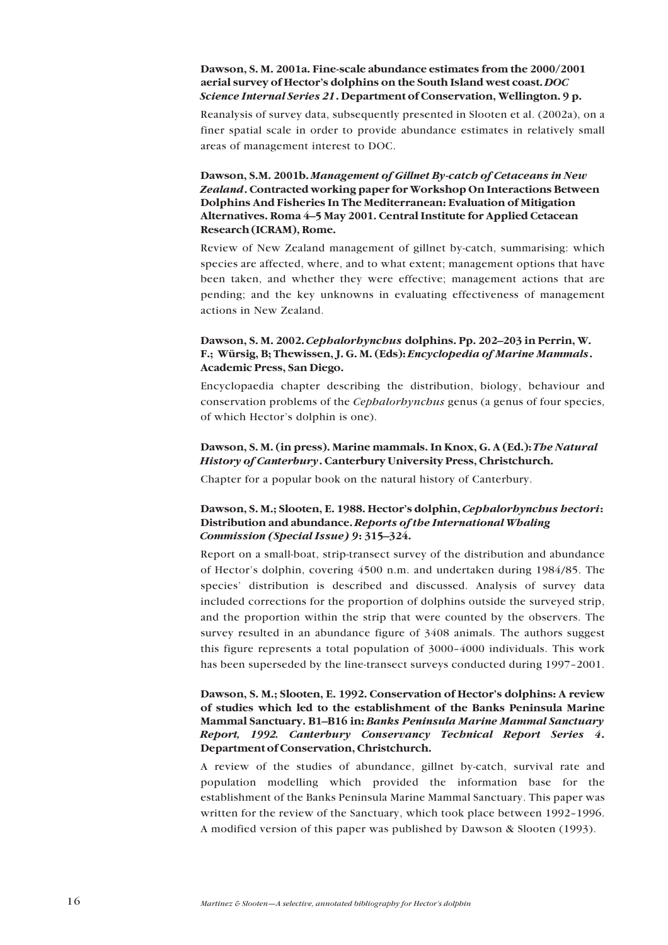### **Dawson, S. M. 2001a. Fine-scale abundance estimates from the 2000/2001** aerial survey of Hector's dolphins on the South Island west coast. *DOC Science Internal Series 21***. Department of Conservation, Wellington. 9 p.**

Reanalysis of survey data, subsequently presented in Slooten et al. (2002a), on a finer spatial scale in order to provide abundance estimates in relatively small areas of management interest to DOC.

### **Dawson, S.M. 2001b.** *Management of Gillnet By-catch of Cetaceans in New Zealand***. Contracted working paper for Workshop On Interactions Between Dolphins And Fisheries In The Mediterranean: Evaluation of Mitigation** Alternatives. Roma 4–5 May 2001. Central Institute for Applied Cetacean **Research (ICRAM), Rome.**

Review of New Zealand management of gillnet by-catch, summarising: which species are affected, where, and to what extent; management options that have been taken, and whether they were effective; management actions that are pending; and the key unknowns in evaluating effectiveness of management actions in New Zealand.

### Dawson, S. M. 2002. *Cephalorhynchus* dolphins. Pp. 202–203 in Perrin, W. **F.; Würsig, B; Thewissen, J. G. M. (Eds):** *Encyclopedia of Marine Mammals***. Academic Press, San Diego.**

Encyclopaedia chapter describing the distribution, biology, behaviour and conservation problems of the *Cephalorhynchus* genus (a genus of four species, of which Hector's dolphin is one).

### **Dawson, S. M. (in press). Marine mammals. In Knox, G. A (Ed.):** *The Natural History of Canterbury***. Canterbury University Press, Christchurch.**

Chapter for a popular book on the natural history of Canterbury.

### Dawson, S. M.; Slooten, E. 1988. Hector's dolphin, *Cephalorhynchus hectori*: **Distribution and abundance.** *Reports of the International Whaling Commission (Special Issue) 9*: 315–324.

Report on a small-boat, strip-transect survey of the distribution and abundance of Hector's dolphin, covering 4500 n.m. and undertaken during 1984/85. The speciesí distribution is described and discussed. Analysis of survey data included corrections for the proportion of dolphins outside the surveyed strip, and the proportion within the strip that were counted by the observers. The survey resulted in an abundance figure of 3408 animals. The authors suggest this figure represents a total population of  $3000-4000$  individuals. This work has been superseded by the line-transect surveys conducted during 1997-2001.

### Dawson, S. M.; Slooten, E. 1992. Conservation of Hector's dolphins: A review **of studies which led to the establishment of the Banks Peninsula Marine Mammal Sanctuary. B1–B16 in:** *Banks Peninsula Marine Mammal Sanctuary Report, 1992. Canterbury Conservancy Technical Report Series 4***. Department of Conservation, Christchurch.**

A review of the studies of abundance, gillnet by-catch, survival rate and population modelling which provided the information base for the establishment of the Banks Peninsula Marine Mammal Sanctuary. This paper was written for the review of the Sanctuary, which took place between 1992-1996. A modified version of this paper was published by Dawson & Slooten (1993).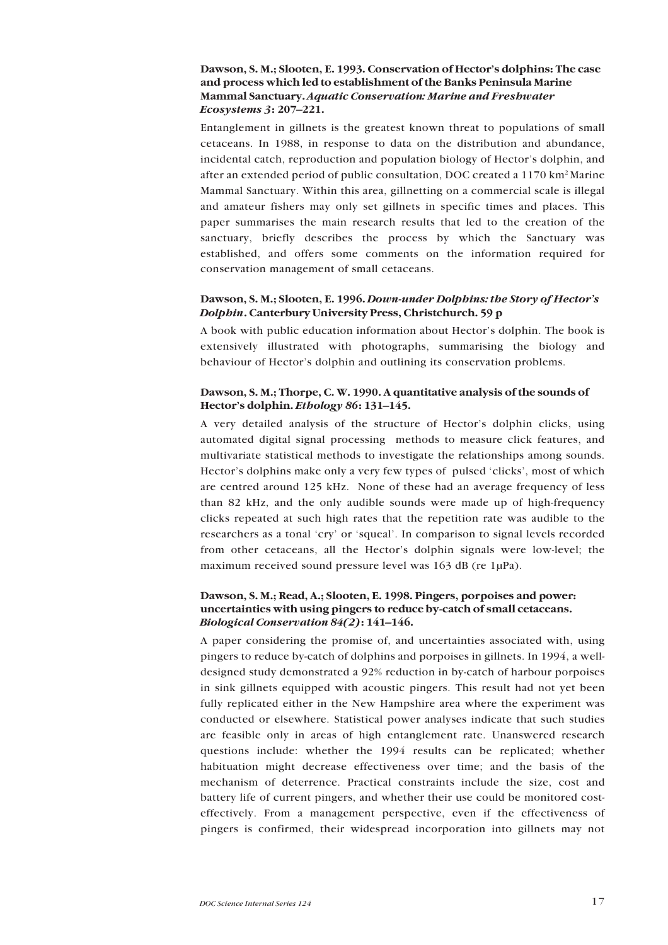### Dawson, S. M.; Slooten, E. 1993. Conservation of Hector's dolphins: The case **and process which led to establishment of the Banks Peninsula Marine Mammal Sanctuary.** *Aquatic Conservation: Marine and Freshwater Ecosystems* 3: 207-221.

Entanglement in gillnets is the greatest known threat to populations of small cetaceans. In 1988, in response to data on the distribution and abundance, incidental catch, reproduction and population biology of Hector's dolphin, and after an extended period of public consultation, DOC created a 1170 km<sup>2</sup> Marine Mammal Sanctuary. Within this area, gillnetting on a commercial scale is illegal and amateur fishers may only set gillnets in specific times and places. This paper summarises the main research results that led to the creation of the sanctuary, briefly describes the process by which the Sanctuary was established, and offers some comments on the information required for conservation management of small cetaceans.

### **Dawson, S. M.; Slooten, E. 1996.** *Down-under Dolphins: the Story of Hectorís Dolphin***. Canterbury University Press, Christchurch. 59 p**

A book with public education information about Hector's dolphin. The book is extensively illustrated with photographs, summarising the biology and behaviour of Hector's dolphin and outlining its conservation problems.

### **Dawson, S. M.; Thorpe, C. W. 1990. A quantitative analysis of the sounds of Hector's dolphin.** *Ethology 86***:** 131–145.

A very detailed analysis of the structure of Hector's dolphin clicks, using automated digital signal processing methods to measure click features, and multivariate statistical methods to investigate the relationships among sounds. Hector's dolphins make only a very few types of pulsed 'clicks', most of which are centred around 125 kHz. None of these had an average frequency of less than 82 kHz, and the only audible sounds were made up of high-frequency clicks repeated at such high rates that the repetition rate was audible to the researchers as a tonal 'cry' or 'squeal'. In comparison to signal levels recorded from other cetaceans, all the Hector's dolphin signals were low-level; the maximum received sound pressure level was 163 dB (re 1µPa).

### **Dawson, S. M.; Read, A.; Slooten, E. 1998. Pingers, porpoises and power: uncertainties with using pingers to reduce by-catch of small cetaceans.** *Biological Conservation 84(2)***:** 141–146.

A paper considering the promise of, and uncertainties associated with, using pingers to reduce by-catch of dolphins and porpoises in gillnets. In 1994, a welldesigned study demonstrated a 92% reduction in by-catch of harbour porpoises in sink gillnets equipped with acoustic pingers. This result had not yet been fully replicated either in the New Hampshire area where the experiment was conducted or elsewhere. Statistical power analyses indicate that such studies are feasible only in areas of high entanglement rate. Unanswered research questions include: whether the 1994 results can be replicated; whether habituation might decrease effectiveness over time; and the basis of the mechanism of deterrence. Practical constraints include the size, cost and battery life of current pingers, and whether their use could be monitored costeffectively. From a management perspective, even if the effectiveness of pingers is confirmed, their widespread incorporation into gillnets may not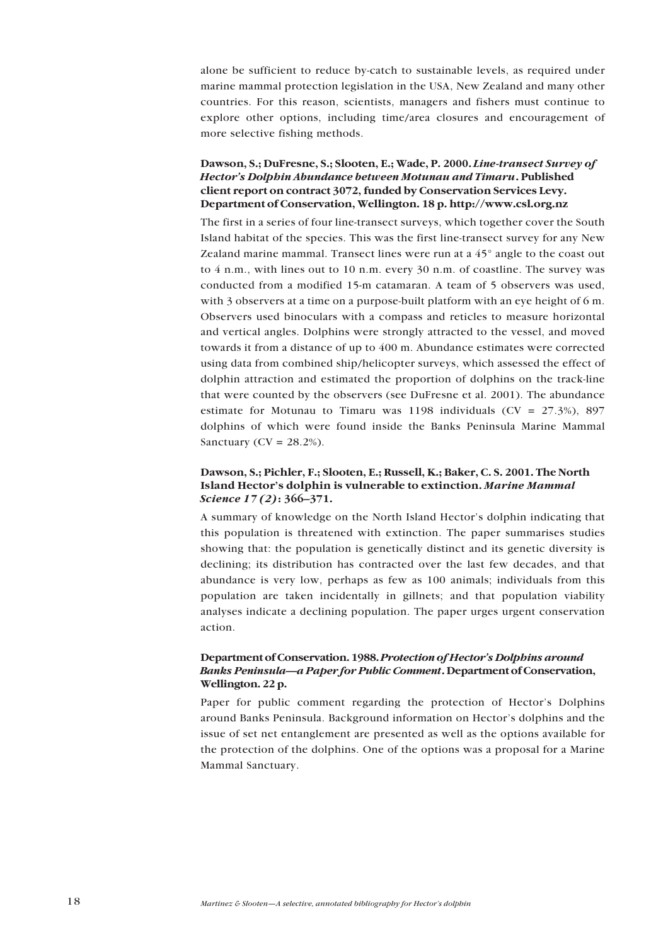alone be sufficient to reduce by-catch to sustainable levels, as required under marine mammal protection legislation in the USA, New Zealand and many other countries. For this reason, scientists, managers and fishers must continue to explore other options, including time/area closures and encouragement of more selective fishing methods.

### **Dawson, S.; DuFresne, S.; Slooten, E.; Wade, P. 2000.** *Line-transect Survey of Hectorís Dolphin Abundance between Motunau and Timaru***. Published client report on contract 3072, funded by Conservation Services Levy. Department of Conservation, Wellington. 18 p. http://www.csl.org.nz**

The first in a series of four line-transect surveys, which together cover the South Island habitat of the species. This was the first line-transect survey for any New Zealand marine mammal. Transect lines were run at a  $45^\circ$  angle to the coast out to 4 n.m., with lines out to 10 n.m. every 30 n.m. of coastline. The survey was conducted from a modified 15-m catamaran. A team of 5 observers was used, with 3 observers at a time on a purpose-built platform with an eye height of 6 m. Observers used binoculars with a compass and reticles to measure horizontal and vertical angles. Dolphins were strongly attracted to the vessel, and moved towards it from a distance of up to 400 m. Abundance estimates were corrected using data from combined ship/helicopter surveys, which assessed the effect of dolphin attraction and estimated the proportion of dolphins on the track-line that were counted by the observers (see DuFresne et al. 2001). The abundance estimate for Motunau to Timaru was 1198 individuals ( $CV = 27.3\%$ ), 897 dolphins of which were found inside the Banks Peninsula Marine Mammal Sanctuary ( $CV = 28.2\%$ ).

### **Dawson, S.; Pichler, F.; Slooten, E.; Russell, K.; Baker, C. S. 2001. The North Island Hector's dolphin is vulnerable to extinction.** *Marine Mammal Science* 17(2)**:** 366-371.

A summary of knowledge on the North Island Hector's dolphin indicating that this population is threatened with extinction. The paper summarises studies showing that: the population is genetically distinct and its genetic diversity is declining; its distribution has contracted over the last few decades, and that abundance is very low, perhaps as few as 100 animals; individuals from this population are taken incidentally in gillnets; and that population viability analyses indicate a declining population. The paper urges urgent conservation action.

### **Department of Conservation. 1988.** *Protection of Hectorís Dolphins around Banks Peninsula—a Paper for Public Comment*. Department of Conservation, **Wellington. 22 p.**

Paper for public comment regarding the protection of Hector's Dolphins around Banks Peninsula. Background information on Hector's dolphins and the issue of set net entanglement are presented as well as the options available for the protection of the dolphins. One of the options was a proposal for a Marine Mammal Sanctuary.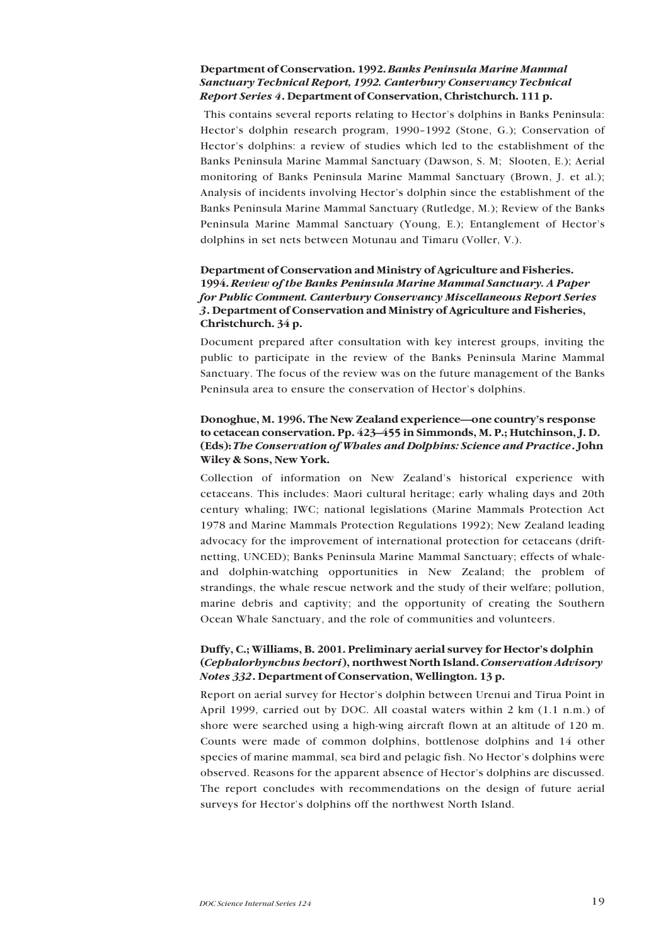### **Department of Conservation. 1992.** *Banks Peninsula Marine Mammal Sanctuary Technical Report, 1992. Canterbury Conservancy Technical Report Series 4***. Department of Conservation, Christchurch. 111 p.**

This contains several reports relating to Hector's dolphins in Banks Peninsula: Hector's dolphin research program, 1990-1992 (Stone, G.); Conservation of Hector's dolphins: a review of studies which led to the establishment of the Banks Peninsula Marine Mammal Sanctuary (Dawson, S. M; Slooten, E.); Aerial monitoring of Banks Peninsula Marine Mammal Sanctuary (Brown, J. et al.); Analysis of incidents involving Hector's dolphin since the establishment of the Banks Peninsula Marine Mammal Sanctuary (Rutledge, M.); Review of the Banks Peninsula Marine Mammal Sanctuary (Young, E.); Entanglement of Hector's dolphins in set nets between Motunau and Timaru (Voller, V.).

### **Department of Conservation and Ministry of Agriculture and Fisheries. 1994.** *Review of the Banks Peninsula Marine Mammal Sanctuary. A Paper for Public Comment. Canterbury Conservancy Miscellaneous Report Series 3***. Department of Conservation and Ministry of Agriculture and Fisheries, Christchurch. 34 p.**

Document prepared after consultation with key interest groups, inviting the public to participate in the review of the Banks Peninsula Marine Mammal Sanctuary. The focus of the review was on the future management of the Banks Peninsula area to ensure the conservation of Hector's dolphins.

### **Donoghue, M. 1996. The New Zealand experience—one country's response** to cetacean conservation. Pp. 423–455 in Simmonds, M. P.; Hutchinson, J. D. **(Eds):** *The Conservation of Whales and Dolphins: Science and Practice***. John Wiley & Sons, New York.**

Collection of information on New Zealand's historical experience with cetaceans. This includes: Maori cultural heritage; early whaling days and 20th century whaling; IWC; national legislations (Marine Mammals Protection Act 1978 and Marine Mammals Protection Regulations 1992); New Zealand leading advocacy for the improvement of international protection for cetaceans (driftnetting, UNCED); Banks Peninsula Marine Mammal Sanctuary; effects of whaleand dolphin-watching opportunities in New Zealand; the problem of strandings, the whale rescue network and the study of their welfare; pollution, marine debris and captivity; and the opportunity of creating the Southern Ocean Whale Sanctuary, and the role of communities and volunteers.

### Duffy, C.; Williams, B. 2001. Preliminary aerial survey for Hector's dolphin **(***Cephalorhynchus hectori***), northwest North Island.** *Conservation Advisory Notes 332***. Department of Conservation, Wellington. 13 p.**

Report on aerial survey for Hector's dolphin between Urenui and Tirua Point in April 1999, carried out by DOC. All coastal waters within 2 km (1.1 n.m.) of shore were searched using a high-wing aircraft flown at an altitude of 120 m. Counts were made of common dolphins, bottlenose dolphins and 14 other species of marine mammal, sea bird and pelagic fish. No Hector's dolphins were observed. Reasons for the apparent absence of Hector's dolphins are discussed. The report concludes with recommendations on the design of future aerial surveys for Hector's dolphins off the northwest North Island.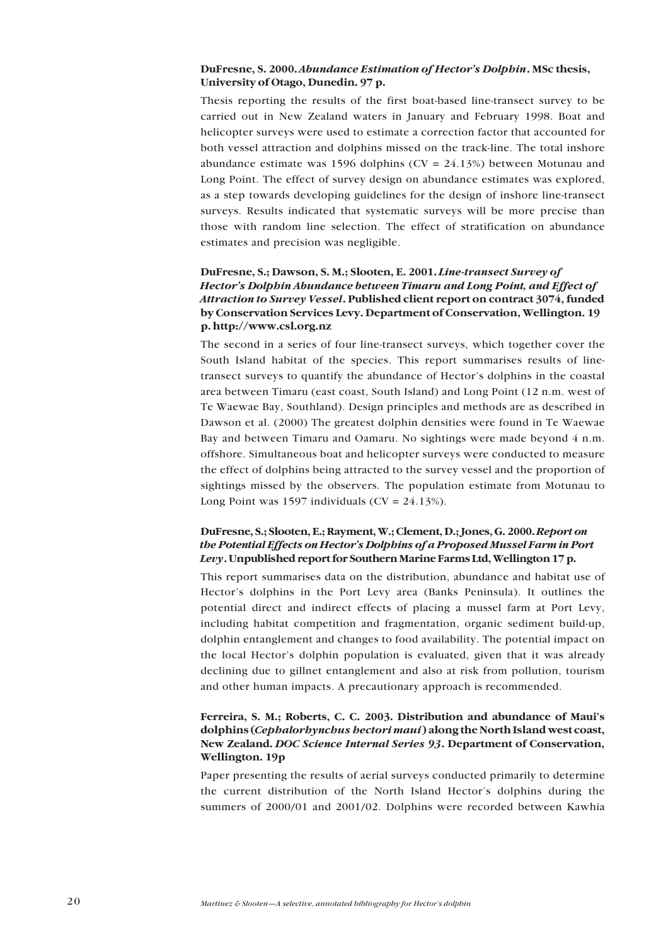### **DuFresne, S. 2000.** *Abundance Estimation of Hectorís Dolphin***. MSc thesis, University of Otago, Dunedin. 97 p.**

Thesis reporting the results of the first boat-based line-transect survey to be carried out in New Zealand waters in January and February 1998. Boat and helicopter surveys were used to estimate a correction factor that accounted for both vessel attraction and dolphins missed on the track-line. The total inshore abundance estimate was 1596 dolphins ( $CV = 24.13\%$ ) between Motunau and Long Point. The effect of survey design on abundance estimates was explored, as a step towards developing guidelines for the design of inshore line-transect surveys. Results indicated that systematic surveys will be more precise than those with random line selection. The effect of stratification on abundance estimates and precision was negligible.

### **DuFresne, S.; Dawson, S. M.; Slooten, E. 2001.** *Line-transect Survey of Hectorís Dolphin Abundance between Timaru and Long Point, and Effect of Attraction to Survey Vessel***. Published client report on contract 3074, funded by Conservation Services Levy. Department of Conservation, Wellington. 19 p. http://www.csl.org.nz**

The second in a series of four line-transect surveys, which together cover the South Island habitat of the species. This report summarises results of linetransect surveys to quantify the abundance of Hector's dolphins in the coastal area between Timaru (east coast, South Island) and Long Point (12 n.m. west of Te Waewae Bay, Southland). Design principles and methods are as described in Dawson et al. (2000) The greatest dolphin densities were found in Te Waewae Bay and between Timaru and Oamaru. No sightings were made beyond 4 n.m. offshore. Simultaneous boat and helicopter surveys were conducted to measure the effect of dolphins being attracted to the survey vessel and the proportion of sightings missed by the observers. The population estimate from Motunau to Long Point was 1597 individuals  $(CV = 24.13\%)$ .

### **DuFresne, S.; Slooten, E.; Rayment, W.; Clement, D.; Jones, G. 2000.** *Report on the Potential Effects on Hectorís Dolphins of a Proposed Mussel Farm in Port Levy***. Unpublished report for Southern Marine Farms Ltd, Wellington 17 p.**

This report summarises data on the distribution, abundance and habitat use of Hector's dolphins in the Port Levy area (Banks Peninsula). It outlines the potential direct and indirect effects of placing a mussel farm at Port Levy, including habitat competition and fragmentation, organic sediment build-up, dolphin entanglement and changes to food availability. The potential impact on the local Hector's dolphin population is evaluated, given that it was already declining due to gillnet entanglement and also at risk from pollution, tourism and other human impacts. A precautionary approach is recommended.

### Ferreira, S. M.; Roberts, C. C. 2003. Distribution and abundance of Maui's **dolphins (***Cephalorhynchus hectori maui***) along the North Island west coast, New Zealand.** *DOC Science Internal Series 93***. Department of Conservation, Wellington. 19p**

Paper presenting the results of aerial surveys conducted primarily to determine the current distribution of the North Island Hector's dolphins during the summers of 2000/01 and 2001/02. Dolphins were recorded between Kawhia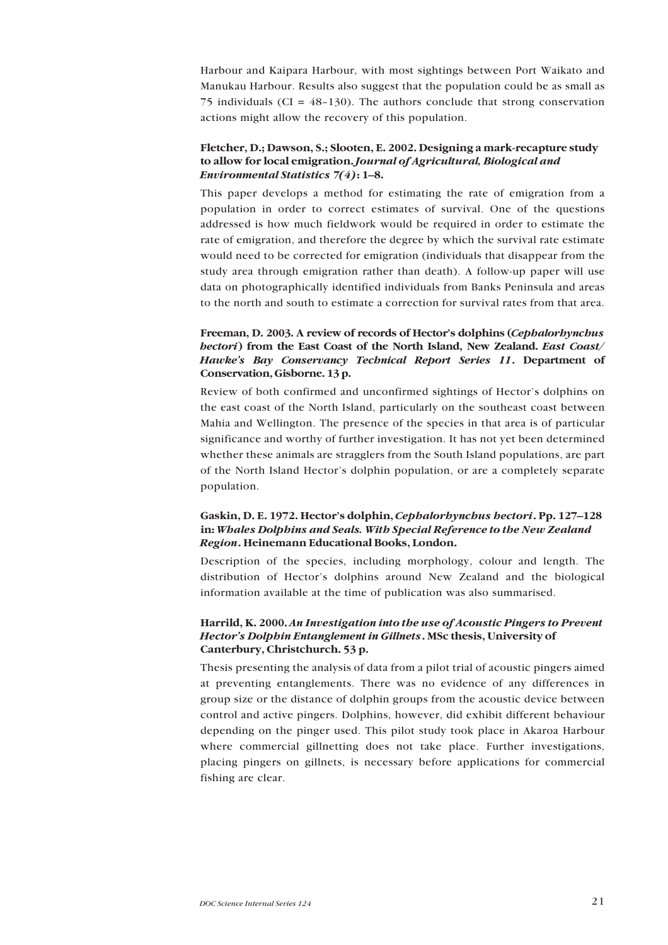Harbour and Kaipara Harbour, with most sightings between Port Waikato and Manukau Harbour. Results also suggest that the population could be as small as 75 individuals (CI =  $48-130$ ). The authors conclude that strong conservation actions might allow the recovery of this population.

### **Fletcher, D.; Dawson, S.; Slooten, E. 2002. Designing a mark-recapture study to allow for local emigration.** *Journal of Agricultural, Biological and Environmental Statistics* 7(4)**:** 1-8.

This paper develops a method for estimating the rate of emigration from a population in order to correct estimates of survival. One of the questions addressed is how much fieldwork would be required in order to estimate the rate of emigration, and therefore the degree by which the survival rate estimate would need to be corrected for emigration (individuals that disappear from the study area through emigration rather than death). A follow-up paper will use data on photographically identified individuals from Banks Peninsula and areas to the north and south to estimate a correction for survival rates from that area.

### Freeman, D. 2003. A review of records of Hector's dolphins (*Cephalorhynchus hectori***) from the East Coast of the North Island, New Zealand.** *East Coast/ Hawkeís Bay Conservancy Technical Report Series 11***. Department of Conservation, Gisborne. 13 p.**

Review of both confirmed and unconfirmed sightings of Hector's dolphins on the east coast of the North Island, particularly on the southeast coast between Mahia and Wellington. The presence of the species in that area is of particular significance and worthy of further investigation. It has not yet been determined whether these animals are stragglers from the South Island populations, are part of the North Island Hector's dolphin population, or are a completely separate population.

### Gaskin, D. E. 1972. Hector's dolphin, *Cephalorhynchus hectori*. Pp. 127–128 **in:** *Whales Dolphins and Seals. With Special Reference to the New Zealand Region***. Heinemann Educational Books, London.**

Description of the species, including morphology, colour and length. The distribution of Hector's dolphins around New Zealand and the biological information available at the time of publication was also summarised.

### **Harrild, K. 2000.** *An Investigation into the use of Acoustic Pingers to Prevent Hectorís Dolphin Entanglement in Gillnets***. MSc thesis, University of Canterbury, Christchurch. 53 p.**

Thesis presenting the analysis of data from a pilot trial of acoustic pingers aimed at preventing entanglements. There was no evidence of any differences in group size or the distance of dolphin groups from the acoustic device between control and active pingers. Dolphins, however, did exhibit different behaviour depending on the pinger used. This pilot study took place in Akaroa Harbour where commercial gillnetting does not take place. Further investigations, placing pingers on gillnets, is necessary before applications for commercial fishing are clear.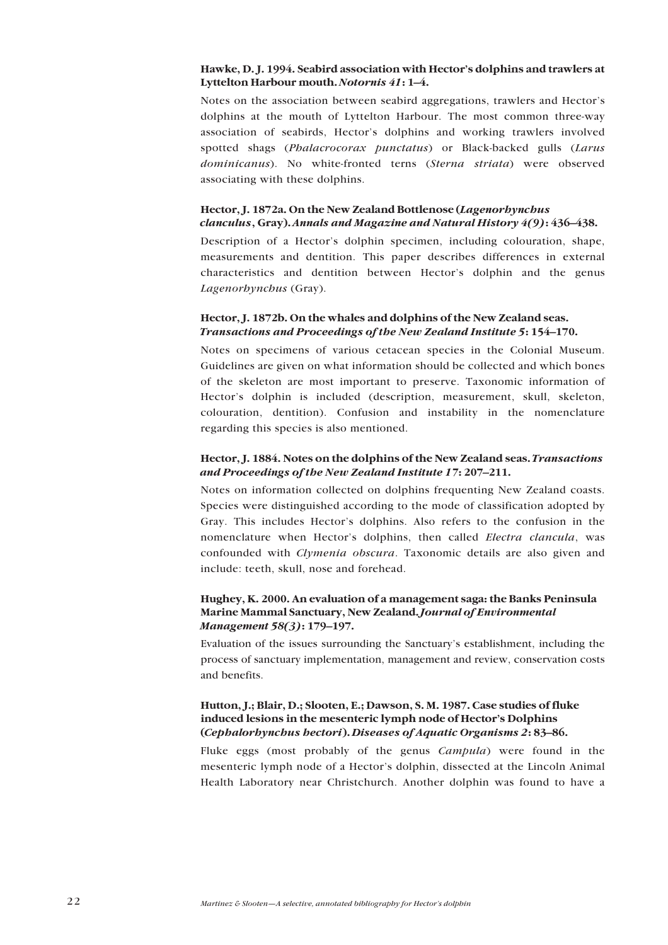### **Hawke, D. J. 1994. Seabird association with Hectorís dolphins and trawlers at** Lyttelton Harbour mouth. *Notornis 41*: 1–4.

Notes on the association between seabird aggregations, trawlers and Hector's dolphins at the mouth of Lyttelton Harbour. The most common three-way association of seabirds. Hector's dolphins and working trawlers involved spotted shags (*Phalacrocorax punctatus*) or Black-backed gulls (*Larus dominicanus*). No white-fronted terns (*Sterna striata*) were observed associating with these dolphins.

### **Hector, J. 1872a. On the New Zealand Bottlenose (***Lagenorhynchus clanculus*, Gray). *Annals and Magazine and Natural History 4(9)***:** 436–438.

Description of a Hector's dolphin specimen, including colouration, shape, measurements and dentition. This paper describes differences in external characteristics and dentition between Hector's dolphin and the genus *Lagenorhynchus* (Gray).

### **Hector, J. 1872b. On the whales and dolphins of the New Zealand seas.** *Transactions and Proceedings of the New Zealand Institute 5*: 154–170.

Notes on specimens of various cetacean species in the Colonial Museum. Guidelines are given on what information should be collected and which bones of the skeleton are most important to preserve. Taxonomic information of Hector's dolphin is included (description, measurement, skull, skeleton, colouration, dentition). Confusion and instability in the nomenclature regarding this species is also mentioned.

### **Hector, J. 1884. Notes on the dolphins of the New Zealand seas.** *Transactions and Proceedings of the New Zealand Institute 17*: 207-211.

Notes on information collected on dolphins frequenting New Zealand coasts. Species were distinguished according to the mode of classification adopted by Gray. This includes Hector's dolphins. Also refers to the confusion in the nomenclature when Hector's dolphins, then called *Electra clancula*, was confounded with *Clymenia obscura*. Taxonomic details are also given and include: teeth, skull, nose and forehead.

### **Hughey, K. 2000. An evaluation of a management saga: the Banks Peninsula Marine Mammal Sanctuary, New Zealand.** *Journal of Environmental Management 58(3)***:** 179–197.

Evaluation of the issues surrounding the Sanctuary's establishment, including the process of sanctuary implementation, management and review, conservation costs and benefits.

### **Hutton, J.; Blair, D.; Slooten, E.; Dawson, S. M. 1987. Case studies of fluke** induced lesions in the mesenteric lymph node of Hector's Dolphins (*Cephalorhynchus hectori*). *Diseases of Aquatic Organisms 2*: 83-86.

Fluke eggs (most probably of the genus *Campula*) were found in the mesenteric lymph node of a Hector's dolphin, dissected at the Lincoln Animal Health Laboratory near Christchurch. Another dolphin was found to have a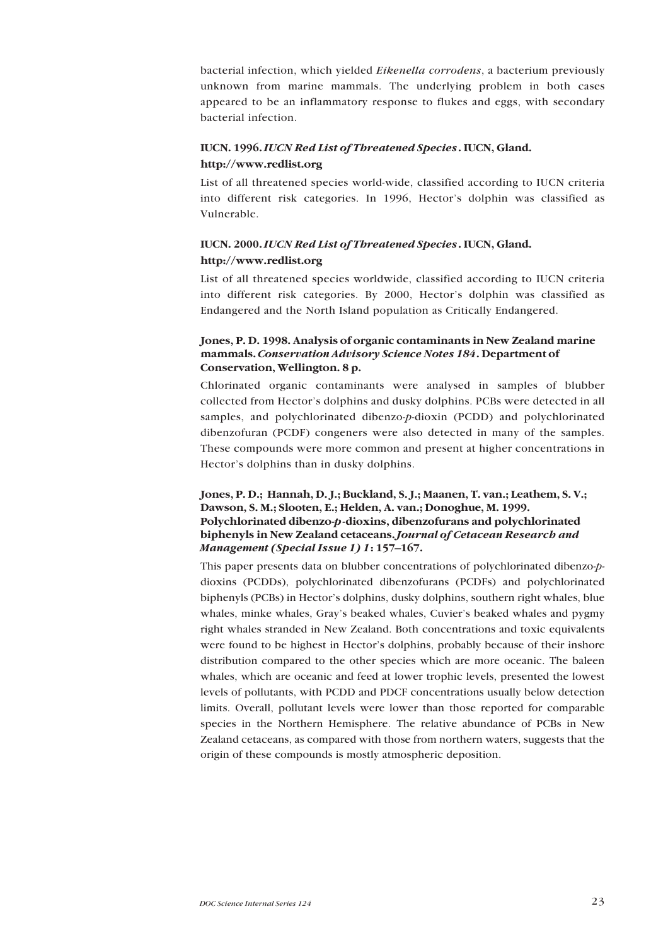bacterial infection, which yielded *Eikenella corrodens*, a bacterium previously unknown from marine mammals. The underlying problem in both cases appeared to be an inflammatory response to flukes and eggs, with secondary bacterial infection.

### **IUCN. 1996.** *IUCN Red List of Threatened Species***. IUCN, Gland. http://www.redlist.org**

List of all threatened species world-wide, classified according to IUCN criteria into different risk categories. In 1996, Hector's dolphin was classified as Vulnerable.

### **IUCN. 2000.** *IUCN Red List of Threatened Species***. IUCN, Gland. http://www.redlist.org**

List of all threatened species worldwide, classified according to IUCN criteria into different risk categories. By 2000, Hector's dolphin was classified as Endangered and the North Island population as Critically Endangered.

### **Jones, P. D. 1998. Analysis of organic contaminants in New Zealand marine mammals.** *Conservation Advisory Science Notes 184***. Department of Conservation, Wellington. 8 p.**

Chlorinated organic contaminants were analysed in samples of blubber collected from Hector's dolphins and dusky dolphins. PCBs were detected in all samples, and polychlorinated dibenzo-*p*-dioxin (PCDD) and polychlorinated dibenzofuran (PCDF) congeners were also detected in many of the samples. These compounds were more common and present at higher concentrations in Hector's dolphins than in dusky dolphins.

### **Jones, P. D.; Hannah, D. J.; Buckland, S. J.; Maanen, T. van.; Leathem, S. V.; Dawson, S. M.; Slooten, E.; Helden, A. van.; Donoghue, M. 1999. Polychlorinated dibenzo-***p***-dioxins, dibenzofurans and polychlorinated biphenyls in New Zealand cetaceans.** *Journal of Cetacean Research and Management (Special Issue 1) 1*: 157-167.

This paper presents data on blubber concentrations of polychlorinated dibenzo-*p*dioxins (PCDDs), polychlorinated dibenzofurans (PCDFs) and polychlorinated biphenyls (PCBs) in Hector's dolphins, dusky dolphins, southern right whales, blue whales, minke whales, Gray's beaked whales, Cuvier's beaked whales and pygmy right whales stranded in New Zealand. Both concentrations and toxic equivalents were found to be highest in Hector's dolphins, probably because of their inshore distribution compared to the other species which are more oceanic. The baleen whales, which are oceanic and feed at lower trophic levels, presented the lowest levels of pollutants, with PCDD and PDCF concentrations usually below detection limits. Overall, pollutant levels were lower than those reported for comparable species in the Northern Hemisphere. The relative abundance of PCBs in New Zealand cetaceans, as compared with those from northern waters, suggests that the origin of these compounds is mostly atmospheric deposition.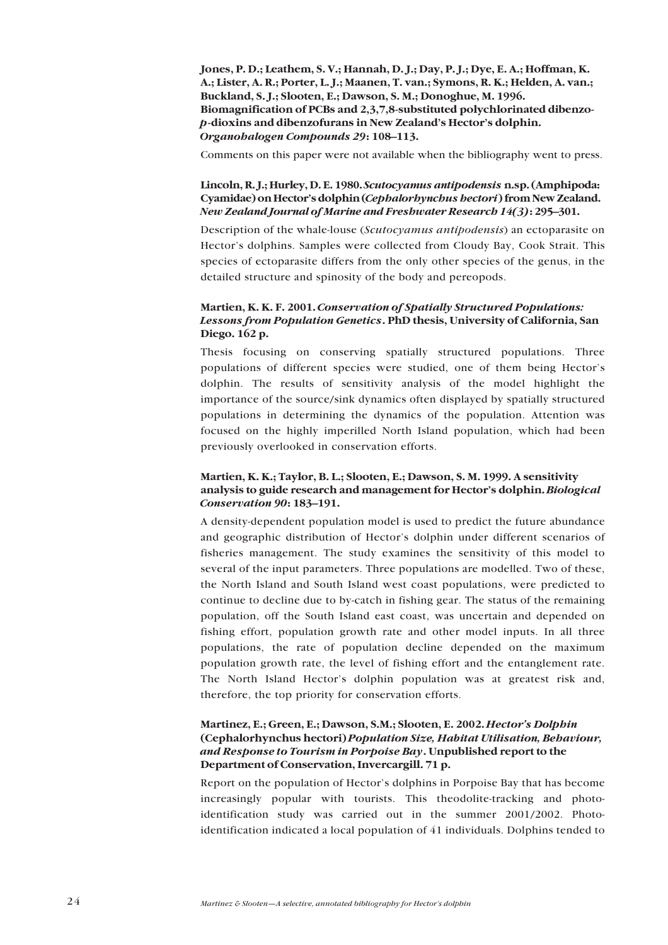**Jones, P. D.; Leathem, S. V.; Hannah, D. J.; Day, P. J.; Dye, E. A.; Hoffman, K. A.; Lister, A. R.; Porter, L. J.; Maanen, T. van.; Symons, R. K.; Helden, A. van.; Buckland, S. J.; Slooten, E.; Dawson, S. M.; Donoghue, M. 1996. Biomagnification of PCBs and 2,3,7,8-substituted polychlorinated dibenzo***p***-dioxins and dibenzofurans in New Zealand's Hector's dolphin.** *Organohalogen Compounds 29*: 108-113.

Comments on this paper were not available when the bibliography went to press.

### **Lincoln, R. J.; Hurley, D. E. 1980.** *Scutocyamus antipodensis* **n.sp. (Amphipoda: Cyamidae) on Hectorís dolphin (***Cephalorhynchus hectori***) from New Zealand.** *New Zealand Journal of Marine and Freshwater Research 14(3)***:** 295–301.

Description of the whale-louse (*Scutocyamus antipodensis*) an ectoparasite on Hector's dolphins. Samples were collected from Cloudy Bay, Cook Strait. This species of ectoparasite differs from the only other species of the genus, in the detailed structure and spinosity of the body and pereopods.

### **Martien, K. K. F. 2001.** *Conservation of Spatially Structured Populations: Lessons from Population Genetics***. PhD thesis, University of California, San Diego. 162 p.**

Thesis focusing on conserving spatially structured populations. Three populations of different species were studied, one of them being Hector's dolphin. The results of sensitivity analysis of the model highlight the importance of the source/sink dynamics often displayed by spatially structured populations in determining the dynamics of the population. Attention was focused on the highly imperilled North Island population, which had been previously overlooked in conservation efforts.

### **Martien, K. K.; Taylor, B. L.; Slooten, E.; Dawson, S. M. 1999. A sensitivity analysis to guide research and management for Hectorís dolphin.** *Biological Conservation 90*: 183-191.

A density-dependent population model is used to predict the future abundance and geographic distribution of Hector's dolphin under different scenarios of fisheries management. The study examines the sensitivity of this model to several of the input parameters. Three populations are modelled. Two of these, the North Island and South Island west coast populations, were predicted to continue to decline due to by-catch in fishing gear. The status of the remaining population, off the South Island east coast, was uncertain and depended on fishing effort, population growth rate and other model inputs. In all three populations, the rate of population decline depended on the maximum population growth rate, the level of fishing effort and the entanglement rate. The North Island Hector's dolphin population was at greatest risk and, therefore, the top priority for conservation efforts.

### **Martinez, E.; Green, E.; Dawson, S.M.; Slooten, E. 2002.** *Hectorís Dolphin* **(Cephalorhynchus hectori)** *Population Size, Habitat Utilisation, Behaviour, and Response to Tourism in Porpoise Bay***. Unpublished report to the Department of Conservation, Invercargill. 71 p.**

Report on the population of Hector's dolphins in Porpoise Bay that has become increasingly popular with tourists. This theodolite-tracking and photoidentification study was carried out in the summer 2001/2002. Photoidentification indicated a local population of 41 individuals. Dolphins tended to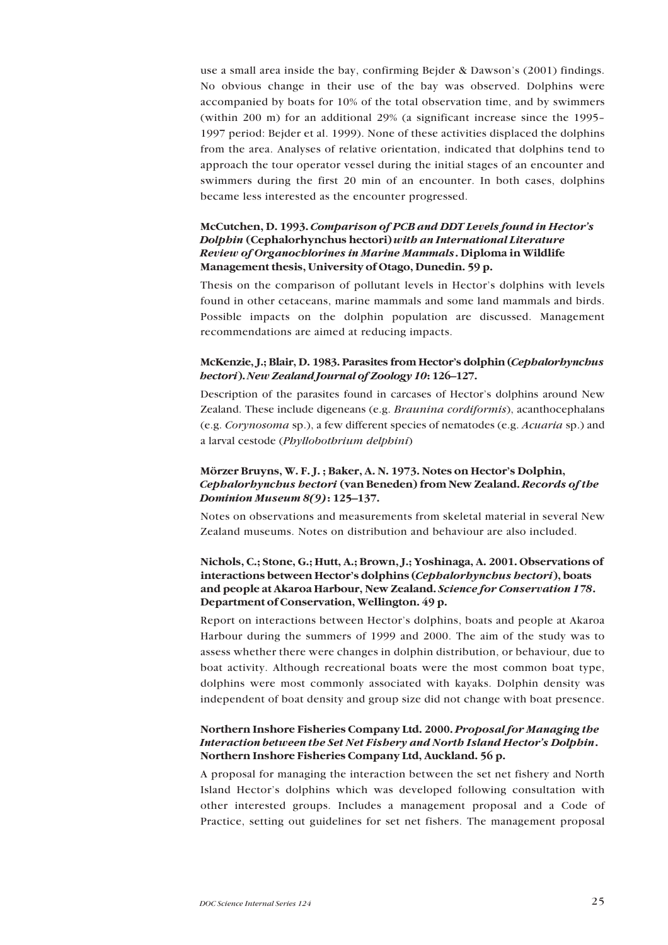use a small area inside the bay, confirming Bejder & Dawson's (2001) findings. No obvious change in their use of the bay was observed. Dolphins were accompanied by boats for 10% of the total observation time, and by swimmers (within 200 m) for an additional 29% (a significant increase since the 1995 $-$ 1997 period: Bejder et al. 1999). None of these activities displaced the dolphins from the area. Analyses of relative orientation, indicated that dolphins tend to approach the tour operator vessel during the initial stages of an encounter and swimmers during the first 20 min of an encounter. In both cases, dolphins became less interested as the encounter progressed.

### **McCutchen, D. 1993.** *Comparison of PCB and DDT Levels found in Hectorís Dolphin* **(Cephalorhynchus hectori)** *with an International Literature Review of Organochlorines in Marine Mammals***. Diploma in Wildlife Management thesis, University of Otago, Dunedin. 59 p.**

Thesis on the comparison of pollutant levels in Hector's dolphins with levels found in other cetaceans, marine mammals and some land mammals and birds. Possible impacts on the dolphin population are discussed. Management recommendations are aimed at reducing impacts.

### **McKenzie, J.; Blair, D. 1983. Parasites from Hectorís dolphin (***Cephalorhynchus hectori*). *New Zealand Journal of Zoology 10*: 126-127.

Description of the parasites found in carcases of Hector's dolphins around New Zealand. These include digeneans (e.g. *Braunina cordiformis*), acanthocephalans (e.g. *Corynosoma* sp.), a few different species of nematodes (e.g. *Acuaria* sp.) and a larval cestode (*Phyllobothrium delphini*)

### Mörzer Bruyns, W. F. J.; Baker, A. N. 1973. Notes on Hector's Dolphin, *Cephalorhynchus hectori* **(van Beneden) from New Zealand.** *Records of the Dominion Museum 8(9)*: 125-137.

Notes on observations and measurements from skeletal material in several New Zealand museums. Notes on distribution and behaviour are also included.

### **Nichols, C.; Stone, G.; Hutt, A.; Brown, J.; Yoshinaga, A. 2001. Observations of interactions between Hectorís dolphins (***Cephalorhynchus hectori***), boats and people at Akaroa Harbour, New Zealand.** *Science for Conservation 178***. Department of Conservation, Wellington. 49 p.**

Report on interactions between Hector's dolphins, boats and people at Akaroa Harbour during the summers of 1999 and 2000. The aim of the study was to assess whether there were changes in dolphin distribution, or behaviour, due to boat activity. Although recreational boats were the most common boat type, dolphins were most commonly associated with kayaks. Dolphin density was independent of boat density and group size did not change with boat presence.

### **Northern Inshore Fisheries Company Ltd. 2000.** *Proposal for Managing the Interaction between the Set Net Fishery and North Island Hectorís Dolphin***. Northern Inshore Fisheries Company Ltd, Auckland. 56 p.**

A proposal for managing the interaction between the set net fishery and North Island Hector's dolphins which was developed following consultation with other interested groups. Includes a management proposal and a Code of Practice, setting out guidelines for set net fishers. The management proposal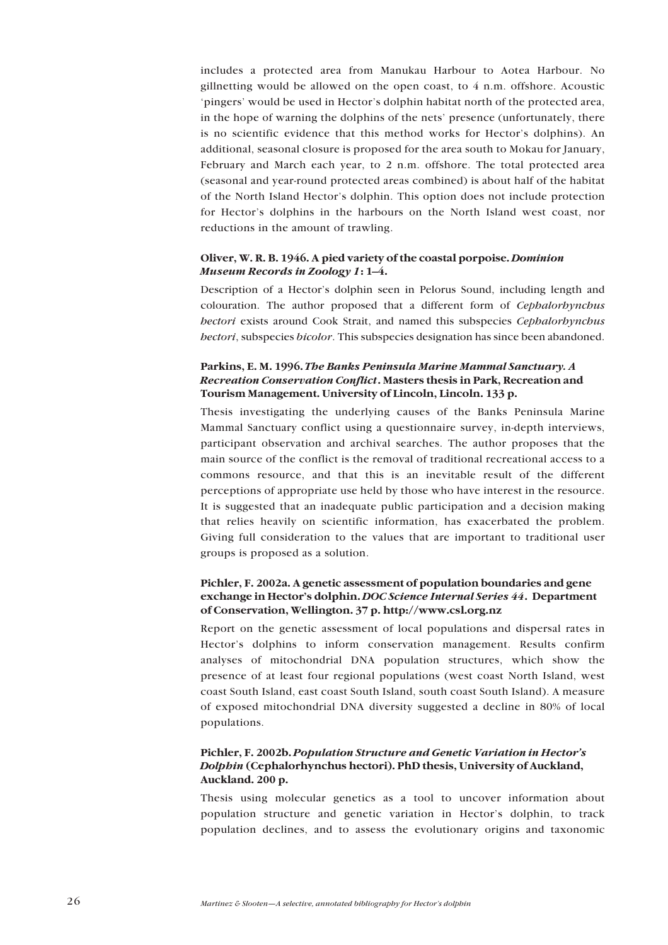includes a protected area from Manukau Harbour to Aotea Harbour. No gillnetting would be allowed on the open coast, to 4 n.m. offshore. Acoustic 'pingers' would be used in Hector's dolphin habitat north of the protected area, in the hope of warning the dolphins of the nets' presence (unfortunately, there is no scientific evidence that this method works for Hector's dolphins). An additional, seasonal closure is proposed for the area south to Mokau for January, February and March each year, to 2 n.m. offshore. The total protected area (seasonal and year-round protected areas combined) is about half of the habitat of the North Island Hector's dolphin. This option does not include protection for Hectorís dolphins in the harbours on the North Island west coast, nor reductions in the amount of trawling.

### **Oliver, W. R. B. 1946. A pied variety of the coastal porpoise.** *Dominion Museum Records in Zoology 1*: 1-4.

Description of a Hector's dolphin seen in Pelorus Sound, including length and colouration. The author proposed that a different form of *Cephalorhynchus hectori* exists around Cook Strait, and named this subspecies *Cephalorhynchus hectori*, subspecies *bicolor*. This subspecies designation has since been abandoned.

### **Parkins, E. M. 1996.** *The Banks Peninsula Marine Mammal Sanctuary. A Recreation Conservation Conflict***. Masters thesis in Park, Recreation and Tourism Management. University of Lincoln, Lincoln. 133 p.**

Thesis investigating the underlying causes of the Banks Peninsula Marine Mammal Sanctuary conflict using a questionnaire survey, in-depth interviews, participant observation and archival searches. The author proposes that the main source of the conflict is the removal of traditional recreational access to a commons resource, and that this is an inevitable result of the different perceptions of appropriate use held by those who have interest in the resource. It is suggested that an inadequate public participation and a decision making that relies heavily on scientific information, has exacerbated the problem. Giving full consideration to the values that are important to traditional user groups is proposed as a solution.

### **Pichler, F. 2002a. A genetic assessment of population boundaries and gene exchange in Hectorís dolphin.** *DOC Science Internal Series 44***. Department of Conservation, Wellington. 37 p. http://www.csl.org.nz**

Report on the genetic assessment of local populations and dispersal rates in Hector's dolphins to inform conservation management. Results confirm analyses of mitochondrial DNA population structures, which show the presence of at least four regional populations (west coast North Island, west coast South Island, east coast South Island, south coast South Island). A measure of exposed mitochondrial DNA diversity suggested a decline in 80% of local populations.

### **Pichler, F. 2002b.** *Population Structure and Genetic Variation in Hectorís Dolphin* **(Cephalorhynchus hectori). PhD thesis, University of Auckland, Auckland. 200 p.**

Thesis using molecular genetics as a tool to uncover information about population structure and genetic variation in Hector's dolphin, to track population declines, and to assess the evolutionary origins and taxonomic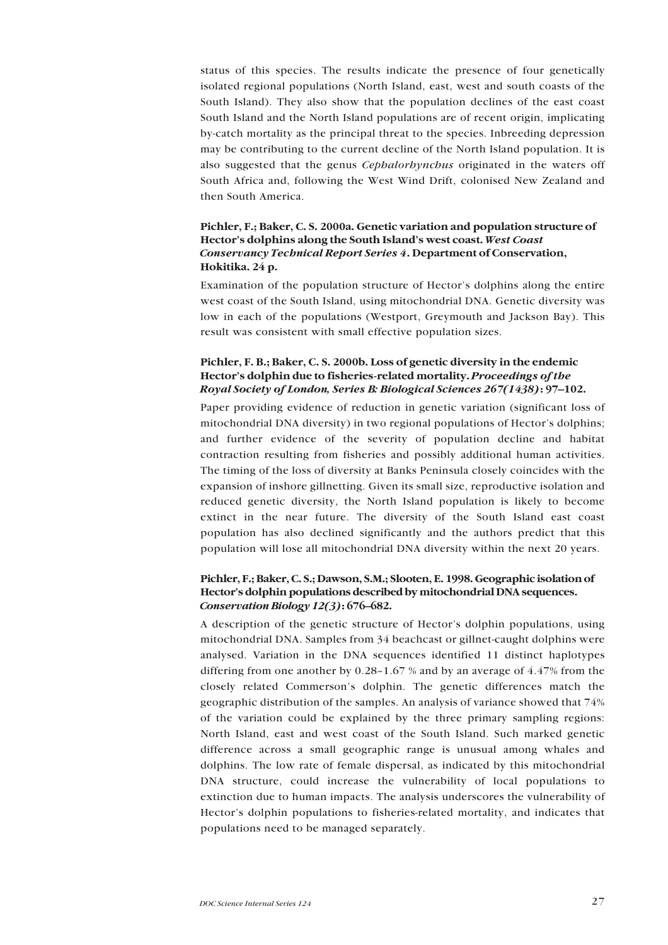status of this species. The results indicate the presence of four genetically isolated regional populations (North Island, east, west and south coasts of the South Island). They also show that the population declines of the east coast South Island and the North Island populations are of recent origin, implicating by-catch mortality as the principal threat to the species. Inbreeding depression may be contributing to the current decline of the North Island population. It is also suggested that the genus *Cephalorhynchus* originated in the waters off South Africa and, following the West Wind Drift, colonised New Zealand and then South America.

### **Pichler, F.; Baker, C. S. 2000a. Genetic variation and population structure of** Hector's dolphins along the South Island's west coast. West Coast *Conservancy Technical Report Series 4***. Department of Conservation, Hokitika. 24 p.**

Examination of the population structure of Hector's dolphins along the entire west coast of the South Island, using mitochondrial DNA. Genetic diversity was low in each of the populations (Westport, Greymouth and Jackson Bay). This result was consistent with small effective population sizes.

### **Pichler, F. B.; Baker, C. S. 2000b. Loss of genetic diversity in the endemic** Hector's dolphin due to fisheries-related mortality. *Proceedings of the Royal Society of London, Series B: Biological Sciences 267(1438)***:** 97–102.

Paper providing evidence of reduction in genetic variation (significant loss of mitochondrial DNA diversity) in two regional populations of Hector's dolphins; and further evidence of the severity of population decline and habitat contraction resulting from fisheries and possibly additional human activities. The timing of the loss of diversity at Banks Peninsula closely coincides with the expansion of inshore gillnetting. Given its small size, reproductive isolation and reduced genetic diversity, the North Island population is likely to become extinct in the near future. The diversity of the South Island east coast population has also declined significantly and the authors predict that this population will lose all mitochondrial DNA diversity within the next 20 years.

### **Pichler, F.; Baker, C. S.; Dawson, S.M.; Slooten, E. 1998. Geographic isolation of Hectorís dolphin populations described by mitochondrial DNA sequences.** *Conservation Biology 12(3)***:** 676-682.

A description of the genetic structure of Hector's dolphin populations, using mitochondrial DNA. Samples from 34 beachcast or gillnet-caught dolphins were analysed. Variation in the DNA sequences identified 11 distinct haplotypes differing from one another by  $0.28-1.67$  % and by an average of 4.47% from the closely related Commerson's dolphin. The genetic differences match the geographic distribution of the samples. An analysis of variance showed that 74% of the variation could be explained by the three primary sampling regions: North Island, east and west coast of the South Island. Such marked genetic difference across a small geographic range is unusual among whales and dolphins. The low rate of female dispersal, as indicated by this mitochondrial DNA structure, could increase the vulnerability of local populations to extinction due to human impacts. The analysis underscores the vulnerability of Hector's dolphin populations to fisheries-related mortality, and indicates that populations need to be managed separately.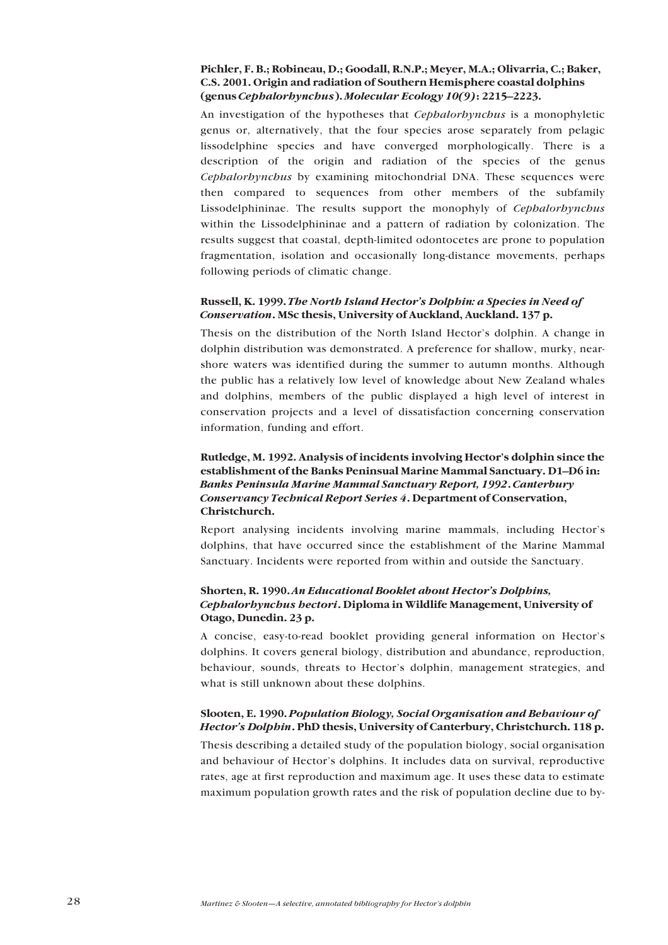### **Pichler, F. B.; Robineau, D.; Goodall, R.N.P.; Meyer, M.A.; Olivarria, C.; Baker, C.S. 2001. Origin and radiation of Southern Hemisphere coastal dolphins (genus** *Cephalorhynchus*). *Molecular Ecology* 10(9): 2215–2223.

An investigation of the hypotheses that *Cephalorhynchus* is a monophyletic genus or, alternatively, that the four species arose separately from pelagic lissodelphine species and have converged morphologically. There is a description of the origin and radiation of the species of the genus *Cephalorhynchus* by examining mitochondrial DNA. These sequences were then compared to sequences from other members of the subfamily Lissodelphininae. The results support the monophyly of *Cephalorhynchus* within the Lissodelphininae and a pattern of radiation by colonization. The results suggest that coastal, depth-limited odontocetes are prone to population fragmentation, isolation and occasionally long-distance movements, perhaps following periods of climatic change.

### **Russell, K. 1999.** *The North Island Hectorís Dolphin: a Species in Need of Conservation***. MSc thesis, University of Auckland, Auckland. 137 p.**

Thesis on the distribution of the North Island Hector's dolphin. A change in dolphin distribution was demonstrated. A preference for shallow, murky, nearshore waters was identified during the summer to autumn months. Although the public has a relatively low level of knowledge about New Zealand whales and dolphins, members of the public displayed a high level of interest in conservation projects and a level of dissatisfaction concerning conservation information, funding and effort.

### Rutledge, M. 1992. Analysis of incidents involving Hector's dolphin since the **establishment of the Banks Peninsual Marine Mammal Sanctuary. D1–D6 in:** *Banks Peninsula Marine Mammal Sanctuary Report, 1992***.** *Canterbury Conservancy Technical Report Series 4***. Department of Conservation, Christchurch.**

Report analysing incidents involving marine mammals, including Hector's dolphins, that have occurred since the establishment of the Marine Mammal Sanctuary. Incidents were reported from within and outside the Sanctuary.

### **Shorten, R. 1990.** *An Educational Booklet about Hectorís Dolphins, Cephalorhynchus hectori***. Diploma in Wildlife Management, University of Otago, Dunedin. 23 p.**

A concise, easy-to-read booklet providing general information on Hectorís dolphins. It covers general biology, distribution and abundance, reproduction, behaviour, sounds, threats to Hector's dolphin, management strategies, and what is still unknown about these dolphins.

### **Slooten, E. 1990.** *Population Biology, Social Organisation and Behaviour of Hectorís Dolphin***. PhD thesis, University of Canterbury, Christchurch. 118 p.**

Thesis describing a detailed study of the population biology, social organisation and behaviour of Hector's dolphins. It includes data on survival, reproductive rates, age at first reproduction and maximum age. It uses these data to estimate maximum population growth rates and the risk of population decline due to by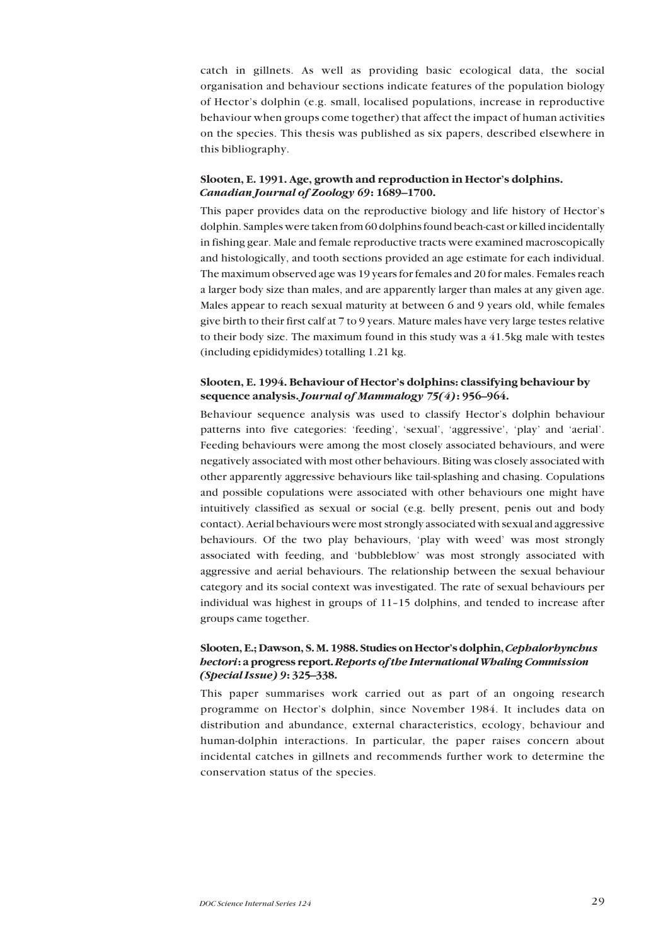catch in gillnets. As well as providing basic ecological data, the social organisation and behaviour sections indicate features of the population biology of Hectorís dolphin (e.g. small, localised populations, increase in reproductive behaviour when groups come together) that affect the impact of human activities on the species. This thesis was published as six papers, described elsewhere in this bibliography.

#### Slooten, E. 1991. Age, growth and reproduction in Hector's dolphins. *Canadian Journal of Zoology 69*: 1689–1700.

This paper provides data on the reproductive biology and life history of Hector's dolphin. Samples were taken from 60 dolphins found beach-cast or killed incidentally in fishing gear. Male and female reproductive tracts were examined macroscopically and histologically, and tooth sections provided an age estimate for each individual. The maximum observed age was 19 years for females and 20 for males. Females reach a larger body size than males, and are apparently larger than males at any given age. Males appear to reach sexual maturity at between 6 and 9 years old, while females give birth to their first calf at 7 to 9 years. Mature males have very large testes relative to their body size. The maximum found in this study was a 41.5kg male with testes (including epididymides) totalling 1.21 kg.

### Slooten, E. 1994. Behaviour of Hector's dolphins: classifying behaviour by **sequence analysis.** *Journal of Mammalogy* **75(4)<b>:** 956–964.

Behaviour sequence analysis was used to classify Hector's dolphin behaviour patterns into five categories: 'feeding', 'sexual', 'aggressive', 'play' and 'aerial'. Feeding behaviours were among the most closely associated behaviours, and were negatively associated with most other behaviours. Biting was closely associated with other apparently aggressive behaviours like tail-splashing and chasing. Copulations and possible copulations were associated with other behaviours one might have intuitively classified as sexual or social (e.g. belly present, penis out and body contact). Aerial behaviours were most strongly associated with sexual and aggressive behaviours. Of the two play behaviours, 'play with weed' was most strongly associated with feeding, and 'bubbleblow' was most strongly associated with aggressive and aerial behaviours. The relationship between the sexual behaviour category and its social context was investigated. The rate of sexual behaviours per individual was highest in groups of  $11-15$  dolphins, and tended to increase after groups came together.

### **Slooten, E.; Dawson, S. M. 1988. Studies on Hectorís dolphin,** *Cephalorhynchus hectori***: a progress report.** *Reports of the International Whaling Commission (Special Issue) 9*: 325-338.

This paper summarises work carried out as part of an ongoing research programme on Hectorís dolphin, since November 1984. It includes data on distribution and abundance, external characteristics, ecology, behaviour and human-dolphin interactions. In particular, the paper raises concern about incidental catches in gillnets and recommends further work to determine the conservation status of the species.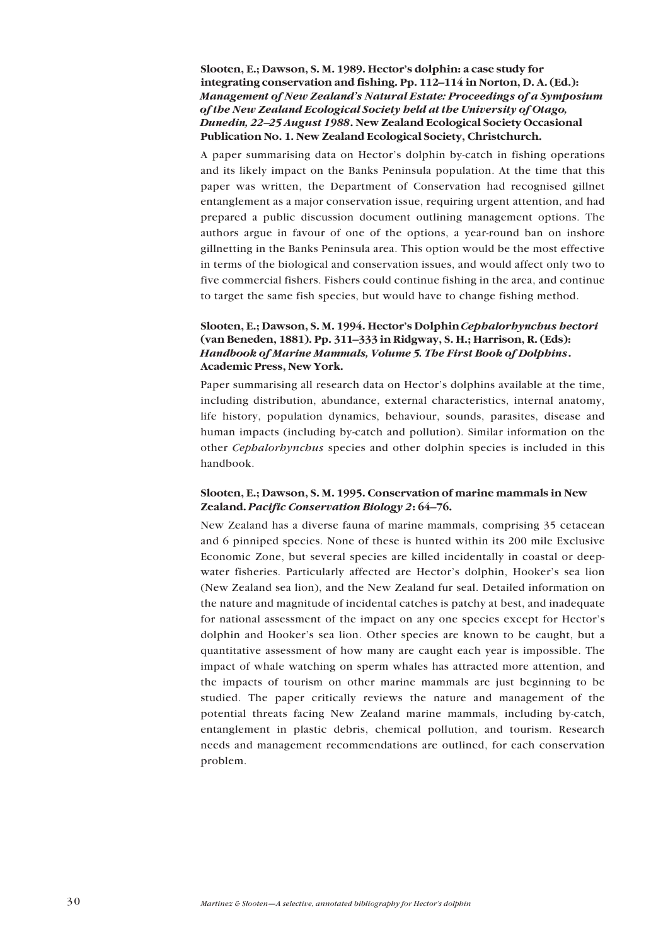Slooten, E.; Dawson, S. M. 1989. Hector's dolphin: a case study for **integrating conservation and fishing. Pp. 112–114 in Norton, D. A. (Ed.):** *Management of New Zealandís Natural Estate: Proceedings of a Symposium of the New Zealand Ecological Society held at the University of Otago, Dunedin, 22–25 August 1988*. New Zealand Ecological Society Occasional **Publication No. 1. New Zealand Ecological Society, Christchurch.**

A paper summarising data on Hector's dolphin by-catch in fishing operations and its likely impact on the Banks Peninsula population. At the time that this paper was written, the Department of Conservation had recognised gillnet entanglement as a major conservation issue, requiring urgent attention, and had prepared a public discussion document outlining management options. The authors argue in favour of one of the options, a year-round ban on inshore gillnetting in the Banks Peninsula area. This option would be the most effective in terms of the biological and conservation issues, and would affect only two to five commercial fishers. Fishers could continue fishing in the area, and continue to target the same fish species, but would have to change fishing method.

### **Slooten, E.; Dawson, S. M. 1994. Hectorís Dolphin** *Cephalorhynchus hectori* (van Beneden, 1881). Pp. 311–333 in Ridgway, S. H.; Harrison, R. (Eds): *Handbook of Marine Mammals, Volume 5. The First Book of Dolphins***. Academic Press, New York.**

Paper summarising all research data on Hector's dolphins available at the time, including distribution, abundance, external characteristics, internal anatomy, life history, population dynamics, behaviour, sounds, parasites, disease and human impacts (including by-catch and pollution). Similar information on the other *Cephalorhynchus* species and other dolphin species is included in this handbook.

### **Slooten, E.; Dawson, S. M. 1995. Conservation of marine mammals in New Zealand. Pacific Conservation Biology 2: 64-76.**

New Zealand has a diverse fauna of marine mammals, comprising 35 cetacean and 6 pinniped species. None of these is hunted within its 200 mile Exclusive Economic Zone, but several species are killed incidentally in coastal or deepwater fisheries. Particularly affected are Hector's dolphin, Hooker's sea lion (New Zealand sea lion), and the New Zealand fur seal. Detailed information on the nature and magnitude of incidental catches is patchy at best, and inadequate for national assessment of the impact on any one species except for Hector's dolphin and Hooker's sea lion. Other species are known to be caught, but a quantitative assessment of how many are caught each year is impossible. The impact of whale watching on sperm whales has attracted more attention, and the impacts of tourism on other marine mammals are just beginning to be studied. The paper critically reviews the nature and management of the potential threats facing New Zealand marine mammals, including by-catch, entanglement in plastic debris, chemical pollution, and tourism. Research needs and management recommendations are outlined, for each conservation problem.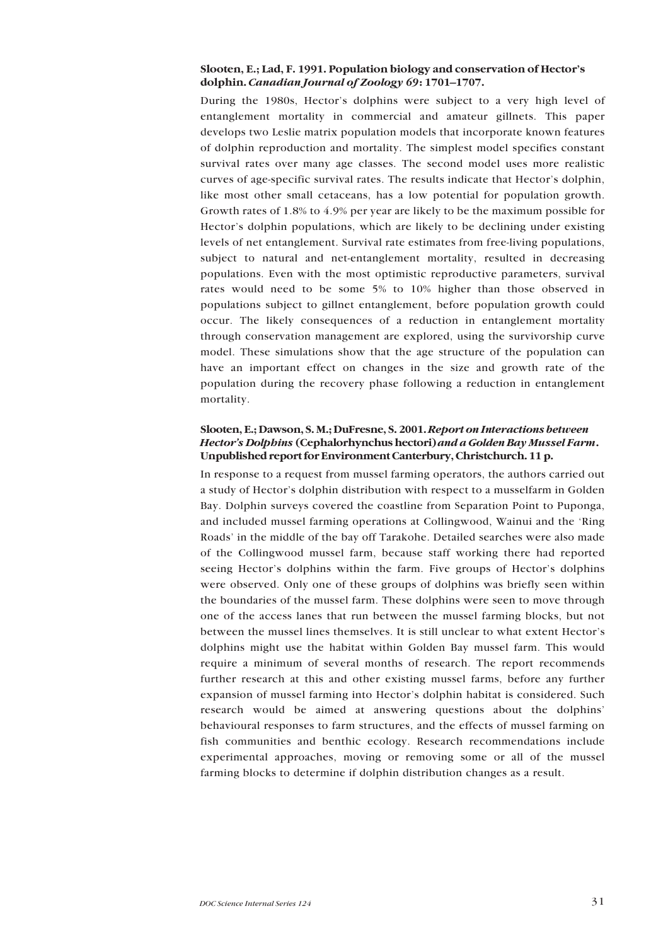### **Slooten, E.; Lad, F. 1991. Population biology and conservation of Hectorís** dolphin. *Canadian Journal of Zoology 69*: 1701-1707.

During the 1980s, Hector's dolphins were subject to a very high level of entanglement mortality in commercial and amateur gillnets. This paper develops two Leslie matrix population models that incorporate known features of dolphin reproduction and mortality. The simplest model specifies constant survival rates over many age classes. The second model uses more realistic curves of age-specific survival rates. The results indicate that Hector's dolphin, like most other small cetaceans, has a low potential for population growth. Growth rates of 1.8% to 4.9% per year are likely to be the maximum possible for Hector's dolphin populations, which are likely to be declining under existing levels of net entanglement. Survival rate estimates from free-living populations, subject to natural and net-entanglement mortality, resulted in decreasing populations. Even with the most optimistic reproductive parameters, survival rates would need to be some 5% to 10% higher than those observed in populations subject to gillnet entanglement, before population growth could occur. The likely consequences of a reduction in entanglement mortality through conservation management are explored, using the survivorship curve model. These simulations show that the age structure of the population can have an important effect on changes in the size and growth rate of the population during the recovery phase following a reduction in entanglement mortality.

### **Slooten, E.; Dawson, S. M.; DuFresne, S. 2001.** *Report on Interactions between Hectorís Dolphins* **(Cephalorhynchus hectori)** *and a Golden Bay Mussel Farm***. Unpublished report for Environment Canterbury, Christchurch. 11 p.**

In response to a request from mussel farming operators, the authors carried out a study of Hector's dolphin distribution with respect to a musselfarm in Golden Bay. Dolphin surveys covered the coastline from Separation Point to Puponga, and included mussel farming operations at Collingwood, Wainui and the 'Ring Roads' in the middle of the bay off Tarakohe. Detailed searches were also made of the Collingwood mussel farm, because staff working there had reported seeing Hector's dolphins within the farm. Five groups of Hector's dolphins were observed. Only one of these groups of dolphins was briefly seen within the boundaries of the mussel farm. These dolphins were seen to move through one of the access lanes that run between the mussel farming blocks, but not between the mussel lines themselves. It is still unclear to what extent Hector's dolphins might use the habitat within Golden Bay mussel farm. This would require a minimum of several months of research. The report recommends further research at this and other existing mussel farms, before any further expansion of mussel farming into Hector's dolphin habitat is considered. Such research would be aimed at answering questions about the dolphins' behavioural responses to farm structures, and the effects of mussel farming on fish communities and benthic ecology. Research recommendations include experimental approaches, moving or removing some or all of the mussel farming blocks to determine if dolphin distribution changes as a result.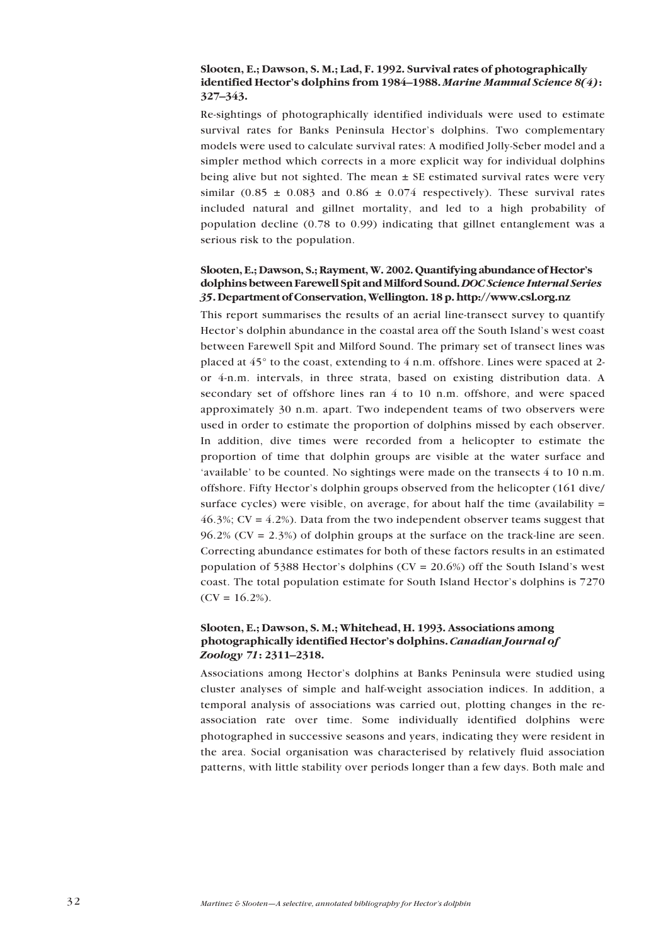### **Slooten, E.; Dawson, S. M.; Lad, F. 1992. Survival rates of photographically identified Hector's dolphins from 1984–1988. Marine Mammal Science 8(4): 327–343.**

Re-sightings of photographically identified individuals were used to estimate survival rates for Banks Peninsula Hector's dolphins. Two complementary models were used to calculate survival rates: A modified Jolly-Seber model and a simpler method which corrects in a more explicit way for individual dolphins being alive but not sighted. The mean  $\pm$  SE estimated survival rates were very similar (0.85  $\pm$  0.083 and 0.86  $\pm$  0.074 respectively). These survival rates included natural and gillnet mortality, and led to a high probability of population decline (0.78 to 0.99) indicating that gillnet entanglement was a serious risk to the population.

### Slooten, E.; Dawson, S.; Rayment, W. 2002. Quantifying abundance of Hector's **dolphins between Farewell Spit and Milford Sound.** *DOC Science Internal Series 35***. Department of Conservation, Wellington. 18 p. http://www.csl.org.nz**

This report summarises the results of an aerial line-transect survey to quantify Hector's dolphin abundance in the coastal area off the South Island's west coast between Farewell Spit and Milford Sound. The primary set of transect lines was placed at 45° to the coast, extending to 4 n.m. offshore. Lines were spaced at 2 or 4-n.m. intervals, in three strata, based on existing distribution data. A secondary set of offshore lines ran 4 to 10 n.m. offshore, and were spaced approximately 30 n.m. apart. Two independent teams of two observers were used in order to estimate the proportion of dolphins missed by each observer. In addition, dive times were recorded from a helicopter to estimate the proportion of time that dolphin groups are visible at the water surface and 'available' to be counted. No sightings were made on the transects  $4$  to 10 n.m. offshore. Fifty Hector's dolphin groups observed from the helicopter (161 dive/ surface cycles) were visible, on average, for about half the time (availability  $=$  $46.3\%$ ; CV =  $4.2\%$ ). Data from the two independent observer teams suggest that 96.2% ( $CV = 2.3\%$ ) of dolphin groups at the surface on the track-line are seen. Correcting abundance estimates for both of these factors results in an estimated population of 5388 Hector's dolphins ( $CV = 20.6\%$ ) off the South Island's west coast. The total population estimate for South Island Hector's dolphins is 7270  $(CV = 16.2\%).$ 

### **Slooten, E.; Dawson, S. M.; Whitehead, H. 1993. Associations among photographically identified Hector's dolphins.** *Canadian Journal of Zoology* 71: 2311-2318.

Associations among Hector's dolphins at Banks Peninsula were studied using cluster analyses of simple and half-weight association indices. In addition, a temporal analysis of associations was carried out, plotting changes in the reassociation rate over time. Some individually identified dolphins were photographed in successive seasons and years, indicating they were resident in the area. Social organisation was characterised by relatively fluid association patterns, with little stability over periods longer than a few days. Both male and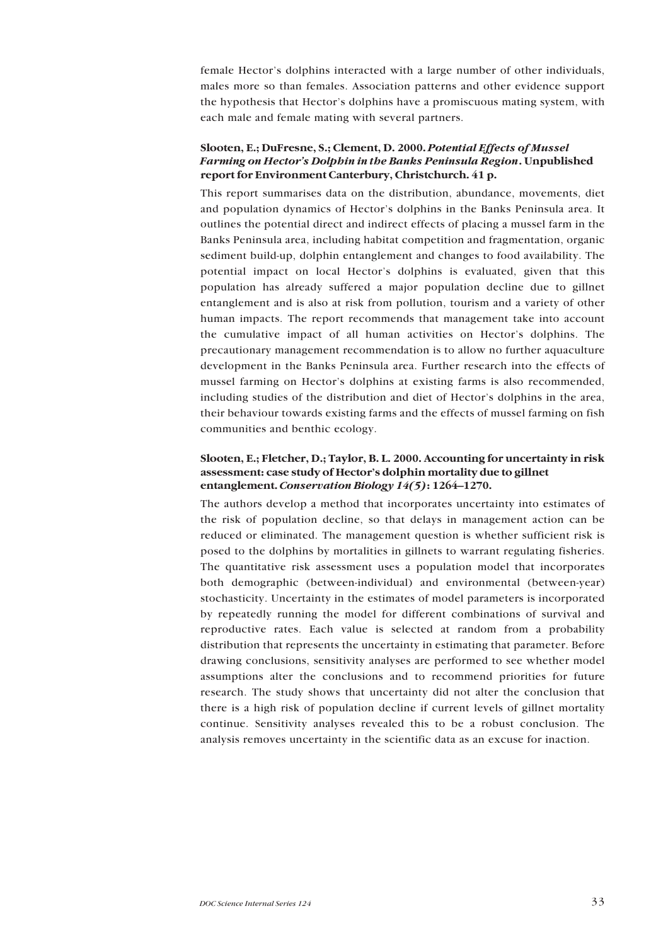female Hector's dolphins interacted with a large number of other individuals, males more so than females. Association patterns and other evidence support the hypothesis that Hector's dolphins have a promiscuous mating system, with each male and female mating with several partners.

### **Slooten, E.; DuFresne, S.; Clement, D. 2000.** *Potential Effects of Mussel Farming on Hectorís Dolphin in the Banks Peninsula Region***. Unpublished report for Environment Canterbury, Christchurch. 41 p.**

This report summarises data on the distribution, abundance, movements, diet and population dynamics of Hector's dolphins in the Banks Peninsula area. It outlines the potential direct and indirect effects of placing a mussel farm in the Banks Peninsula area, including habitat competition and fragmentation, organic sediment build-up, dolphin entanglement and changes to food availability. The potential impact on local Hector's dolphins is evaluated, given that this population has already suffered a major population decline due to gillnet entanglement and is also at risk from pollution, tourism and a variety of other human impacts. The report recommends that management take into account the cumulative impact of all human activities on Hector's dolphins. The precautionary management recommendation is to allow no further aquaculture development in the Banks Peninsula area. Further research into the effects of mussel farming on Hector's dolphins at existing farms is also recommended, including studies of the distribution and diet of Hector's dolphins in the area, their behaviour towards existing farms and the effects of mussel farming on fish communities and benthic ecology.

### **Slooten, E.; Fletcher, D.; Taylor, B. L. 2000. Accounting for uncertainty in risk** assessment: case study of Hector's dolphin mortality due to gillnet **entanglement. Conservation Biology 14(5)**: 1264-1270.

The authors develop a method that incorporates uncertainty into estimates of the risk of population decline, so that delays in management action can be reduced or eliminated. The management question is whether sufficient risk is posed to the dolphins by mortalities in gillnets to warrant regulating fisheries. The quantitative risk assessment uses a population model that incorporates both demographic (between-individual) and environmental (between-year) stochasticity. Uncertainty in the estimates of model parameters is incorporated by repeatedly running the model for different combinations of survival and reproductive rates. Each value is selected at random from a probability distribution that represents the uncertainty in estimating that parameter. Before drawing conclusions, sensitivity analyses are performed to see whether model assumptions alter the conclusions and to recommend priorities for future research. The study shows that uncertainty did not alter the conclusion that there is a high risk of population decline if current levels of gillnet mortality continue. Sensitivity analyses revealed this to be a robust conclusion. The analysis removes uncertainty in the scientific data as an excuse for inaction.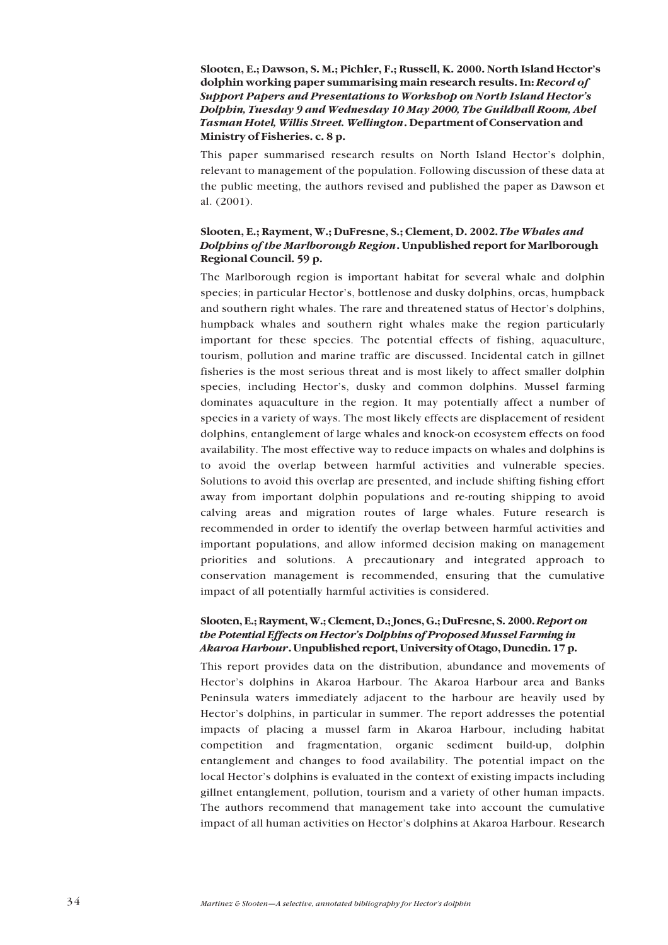### **Slooten, E.; Dawson, S. M.; Pichler, F.; Russell, K. 2000. North Island Hectorís dolphin working paper summarising main research results. In:** *Record of* **Support Papers and Presentations to Workshop on North Island Hector's** *Dolphin, Tuesday 9 and Wednesday 10 May 2000, The Guildhall Room, Abel Tasman Hotel, Willis Street. Wellington***. Department of Conservation and Ministry of Fisheries. c. 8 p.**

This paper summarised research results on North Island Hector's dolphin, relevant to management of the population. Following discussion of these data at the public meeting, the authors revised and published the paper as Dawson et al. (2001).

### **Slooten, E.; Rayment, W.; DuFresne, S.; Clement, D. 2002.** *The Whales and Dolphins of the Marlborough Region***. Unpublished report for Marlborough Regional Council. 59 p.**

The Marlborough region is important habitat for several whale and dolphin species; in particular Hector's, bottlenose and dusky dolphins, orcas, humpback and southern right whales. The rare and threatened status of Hector's dolphins, humpback whales and southern right whales make the region particularly important for these species. The potential effects of fishing, aquaculture, tourism, pollution and marine traffic are discussed. Incidental catch in gillnet fisheries is the most serious threat and is most likely to affect smaller dolphin species, including Hector's, dusky and common dolphins. Mussel farming dominates aquaculture in the region. It may potentially affect a number of species in a variety of ways. The most likely effects are displacement of resident dolphins, entanglement of large whales and knock-on ecosystem effects on food availability. The most effective way to reduce impacts on whales and dolphins is to avoid the overlap between harmful activities and vulnerable species. Solutions to avoid this overlap are presented, and include shifting fishing effort away from important dolphin populations and re-routing shipping to avoid calving areas and migration routes of large whales. Future research is recommended in order to identify the overlap between harmful activities and important populations, and allow informed decision making on management priorities and solutions. A precautionary and integrated approach to conservation management is recommended, ensuring that the cumulative impact of all potentially harmful activities is considered.

### **Slooten, E.; Rayment, W.; Clement, D.; Jones, G.; DuFresne, S. 2000.** *Report on the Potential Effects on Hectorís Dolphins of Proposed Mussel Farming in Akaroa Harbour***. Unpublished report, University of Otago, Dunedin. 17 p.**

This report provides data on the distribution, abundance and movements of Hector's dolphins in Akaroa Harbour. The Akaroa Harbour area and Banks Peninsula waters immediately adjacent to the harbour are heavily used by Hector's dolphins, in particular in summer. The report addresses the potential impacts of placing a mussel farm in Akaroa Harbour, including habitat competition and fragmentation, organic sediment build-up, dolphin entanglement and changes to food availability. The potential impact on the local Hector's dolphins is evaluated in the context of existing impacts including gillnet entanglement, pollution, tourism and a variety of other human impacts. The authors recommend that management take into account the cumulative impact of all human activities on Hector's dolphins at Akaroa Harbour. Research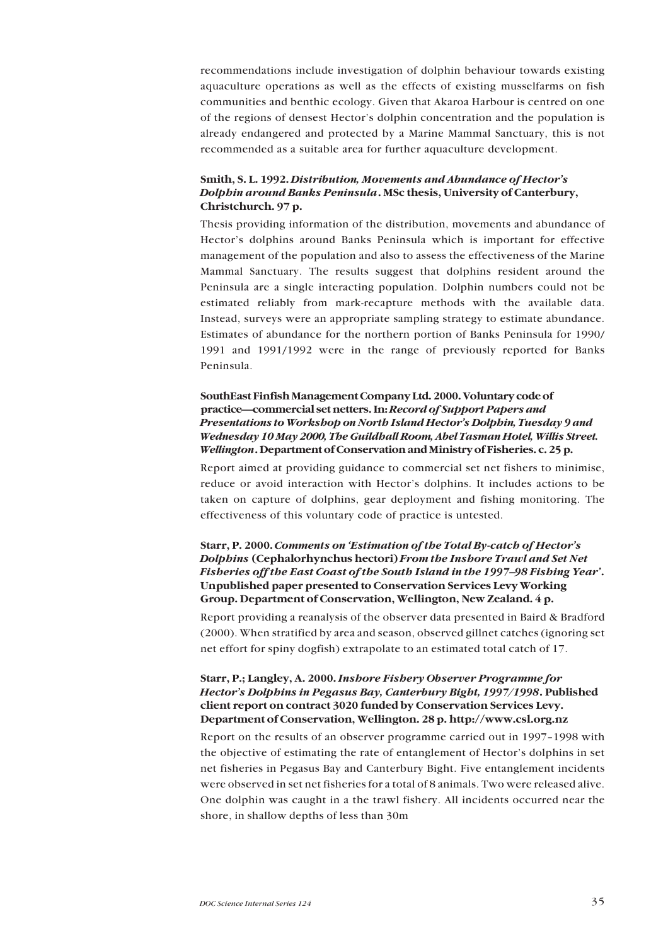recommendations include investigation of dolphin behaviour towards existing aquaculture operations as well as the effects of existing musselfarms on fish communities and benthic ecology. Given that Akaroa Harbour is centred on one of the regions of densest Hectorís dolphin concentration and the population is already endangered and protected by a Marine Mammal Sanctuary, this is not recommended as a suitable area for further aquaculture development.

### **Smith, S. L. 1992.** *Distribution, Movements and Abundance of Hectorís Dolphin around Banks Peninsula***. MSc thesis, University of Canterbury, Christchurch. 97 p.**

Thesis providing information of the distribution, movements and abundance of Hector's dolphins around Banks Peninsula which is important for effective management of the population and also to assess the effectiveness of the Marine Mammal Sanctuary. The results suggest that dolphins resident around the Peninsula are a single interacting population. Dolphin numbers could not be estimated reliably from mark-recapture methods with the available data. Instead, surveys were an appropriate sampling strategy to estimate abundance. Estimates of abundance for the northern portion of Banks Peninsula for 1990/ 1991 and 1991/1992 were in the range of previously reported for Banks Peninsula.

### **SouthEast Finfish Management Company Ltd. 2000. Voluntary code of practice—commercial set netters. In:** *Record of Support Papers and Presentations to Workshop on North Island Hectorís Dolphin, Tuesday 9 and Wednesday 10 May 2000, The Guildhall Room, Abel Tasman Hotel, Willis Street. Wellington***. Department of Conservation and Ministry of Fisheries. c. 25 p.**

Report aimed at providing guidance to commercial set net fishers to minimise, reduce or avoid interaction with Hector's dolphins. It includes actions to be taken on capture of dolphins, gear deployment and fishing monitoring. The effectiveness of this voluntary code of practice is untested.

### **Starr, P. 2000.** *Comments on ëEstimation of the Total By-catch of Hectorís Dolphins* **(Cephalorhynchus hectori)** *From the Inshore Trawl and Set Net Fisheries off the East Coast of the South Island in the 1997–98 Fishing Year'*. **Unpublished paper presented to Conservation Services Levy Working Group. Department of Conservation, Wellington, New Zealand. 4 p.**

Report providing a reanalysis of the observer data presented in Baird & Bradford (2000). When stratified by area and season, observed gillnet catches (ignoring set net effort for spiny dogfish) extrapolate to an estimated total catch of 17.

### **Starr, P.; Langley, A. 2000.** *Inshore Fishery Observer Programme for Hectorís Dolphins in Pegasus Bay, Canterbury Bight, 1997/1998***. Published client report on contract 3020 funded by Conservation Services Levy. Department of Conservation, Wellington. 28 p. http://www.csl.org.nz**

Report on the results of an observer programme carried out in 1997–1998 with the objective of estimating the rate of entanglement of Hector's dolphins in set net fisheries in Pegasus Bay and Canterbury Bight. Five entanglement incidents were observed in set net fisheries for a total of 8 animals. Two were released alive. One dolphin was caught in a the trawl fishery. All incidents occurred near the shore, in shallow depths of less than 30m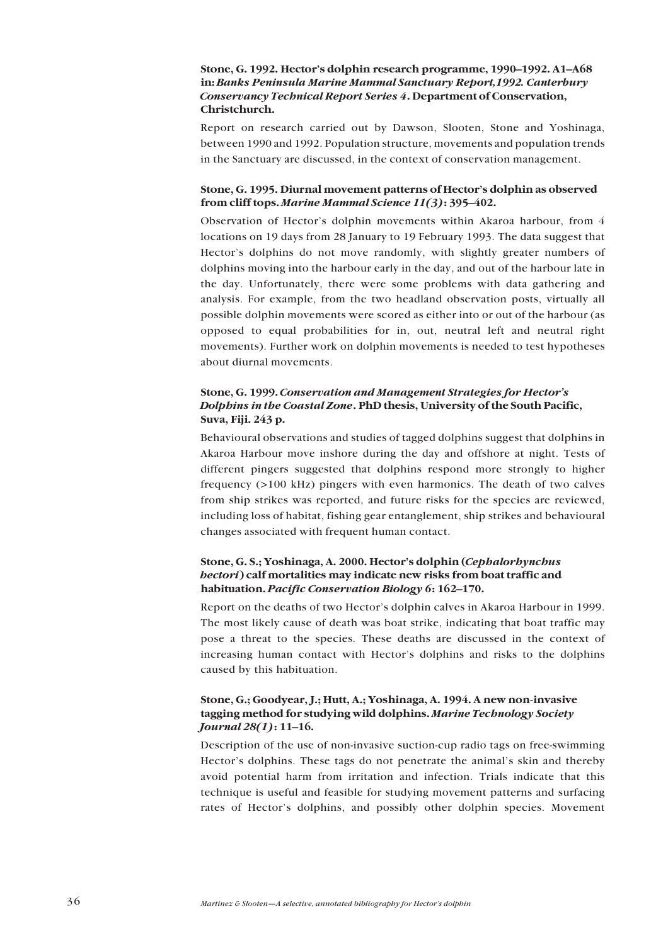### Stone, G. 1992. Hector's dolphin research programme, 1990–1992. A1–A68 **in:** *Banks Peninsula Marine Mammal Sanctuary Report,1992. Canterbury Conservancy Technical Report Series 4***. Department of Conservation, Christchurch.**

Report on research carried out by Dawson, Slooten, Stone and Yoshinaga, between 1990 and 1992. Population structure, movements and population trends in the Sanctuary are discussed, in the context of conservation management.

### **Stone, G. 1995. Diurnal movement patterns of Hectorís dolphin as observed from cliff tops.** *Marine Mammal Science 11(3)***: 395–402.**

Observation of Hector's dolphin movements within Akaroa harbour, from 4 locations on 19 days from 28 January to 19 February 1993. The data suggest that Hector's dolphins do not move randomly, with slightly greater numbers of dolphins moving into the harbour early in the day, and out of the harbour late in the day. Unfortunately, there were some problems with data gathering and analysis. For example, from the two headland observation posts, virtually all possible dolphin movements were scored as either into or out of the harbour (as opposed to equal probabilities for in, out, neutral left and neutral right movements). Further work on dolphin movements is needed to test hypotheses about diurnal movements.

### **Stone, G. 1999.** *Conservation and Management Strategies for Hectorís Dolphins in the Coastal Zone***. PhD thesis, University of the South Pacific, Suva, Fiji. 243 p.**

Behavioural observations and studies of tagged dolphins suggest that dolphins in Akaroa Harbour move inshore during the day and offshore at night. Tests of different pingers suggested that dolphins respond more strongly to higher frequency (>100 kHz) pingers with even harmonics. The death of two calves from ship strikes was reported, and future risks for the species are reviewed, including loss of habitat, fishing gear entanglement, ship strikes and behavioural changes associated with frequent human contact.

### **Stone, G. S.; Yoshinaga, A. 2000. Hectorís dolphin (***Cephalorhynchus hectori***) calf mortalities may indicate new risks from boat traffic and habituation. Pacific Conservation Biology 6: 162-170.**

Report on the deaths of two Hector's dolphin calves in Akaroa Harbour in 1999. The most likely cause of death was boat strike, indicating that boat traffic may pose a threat to the species. These deaths are discussed in the context of increasing human contact with Hector's dolphins and risks to the dolphins caused by this habituation.

### **Stone, G.; Goodyear, J.; Hutt, A.; Yoshinaga, A. 1994. A new non-invasive tagging method for studying wild dolphins.** *Marine Technology Society Journal* 28(1)**:** 11–16.

Description of the use of non-invasive suction-cup radio tags on free-swimming Hector's dolphins. These tags do not penetrate the animal's skin and thereby avoid potential harm from irritation and infection. Trials indicate that this technique is useful and feasible for studying movement patterns and surfacing rates of Hector's dolphins, and possibly other dolphin species. Movement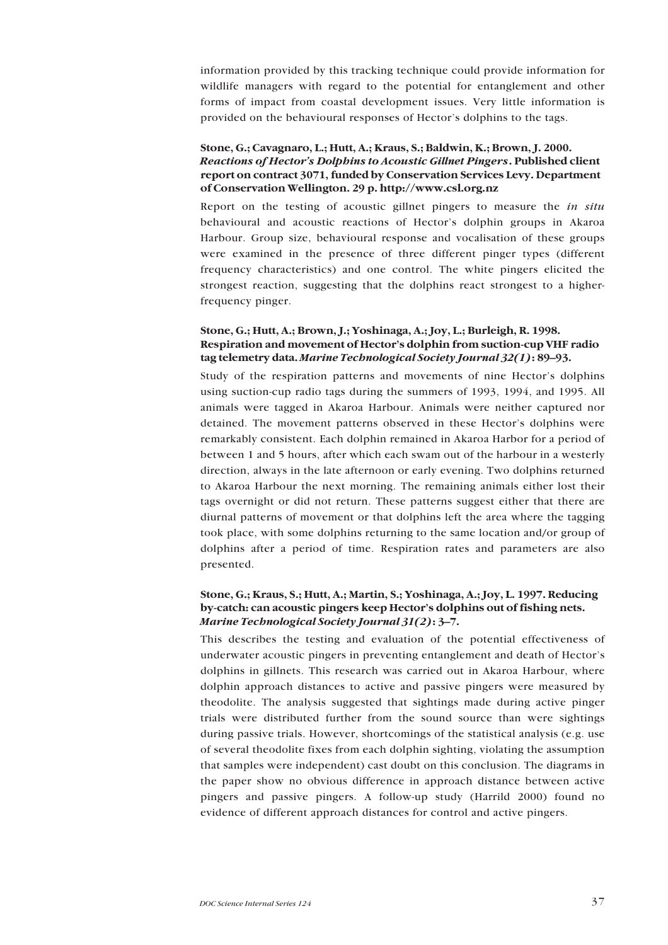information provided by this tracking technique could provide information for wildlife managers with regard to the potential for entanglement and other forms of impact from coastal development issues. Very little information is provided on the behavioural responses of Hector's dolphins to the tags.

### **Stone, G.; Cavagnaro, L.; Hutt, A.; Kraus, S.; Baldwin, K.; Brown, J. 2000.** *Reactions of Hectorís Dolphins to Acoustic Gillnet Pingers***. Published client report on contract 3071, funded by Conservation Services Levy. Department of Conservation Wellington. 29 p. http://www.csl.org.nz**

Report on the testing of acoustic gillnet pingers to measure the *in situ* behavioural and acoustic reactions of Hector's dolphin groups in Akaroa Harbour. Group size, behavioural response and vocalisation of these groups were examined in the presence of three different pinger types (different frequency characteristics) and one control. The white pingers elicited the strongest reaction, suggesting that the dolphins react strongest to a higherfrequency pinger.

### **Stone, G.; Hutt, A.; Brown, J.; Yoshinaga, A.; Joy, L.; Burleigh, R. 1998. Respiration and movement of Hectorís dolphin from suction-cup VHF radio tag telemetry data.** *Marine Technological Society Journal 32(1)***: 89–93.**

Study of the respiration patterns and movements of nine Hector's dolphins using suction-cup radio tags during the summers of 1993, 1994, and 1995. All animals were tagged in Akaroa Harbour. Animals were neither captured nor detained. The movement patterns observed in these Hector's dolphins were remarkably consistent. Each dolphin remained in Akaroa Harbor for a period of between 1 and 5 hours, after which each swam out of the harbour in a westerly direction, always in the late afternoon or early evening. Two dolphins returned to Akaroa Harbour the next morning. The remaining animals either lost their tags overnight or did not return. These patterns suggest either that there are diurnal patterns of movement or that dolphins left the area where the tagging took place, with some dolphins returning to the same location and/or group of dolphins after a period of time. Respiration rates and parameters are also presented.

### **Stone, G.; Kraus, S.; Hutt, A.; Martin, S.; Yoshinaga, A.; Joy, L. 1997. Reducing** by-catch: can acoustic pingers keep Hector's dolphins out of fishing nets. *Marine Technological Society Journal 31(2)*: 3-7.

This describes the testing and evaluation of the potential effectiveness of underwater acoustic pingers in preventing entanglement and death of Hector's dolphins in gillnets. This research was carried out in Akaroa Harbour, where dolphin approach distances to active and passive pingers were measured by theodolite. The analysis suggested that sightings made during active pinger trials were distributed further from the sound source than were sightings during passive trials. However, shortcomings of the statistical analysis (e.g. use of several theodolite fixes from each dolphin sighting, violating the assumption that samples were independent) cast doubt on this conclusion. The diagrams in the paper show no obvious difference in approach distance between active pingers and passive pingers. A follow-up study (Harrild 2000) found no evidence of different approach distances for control and active pingers.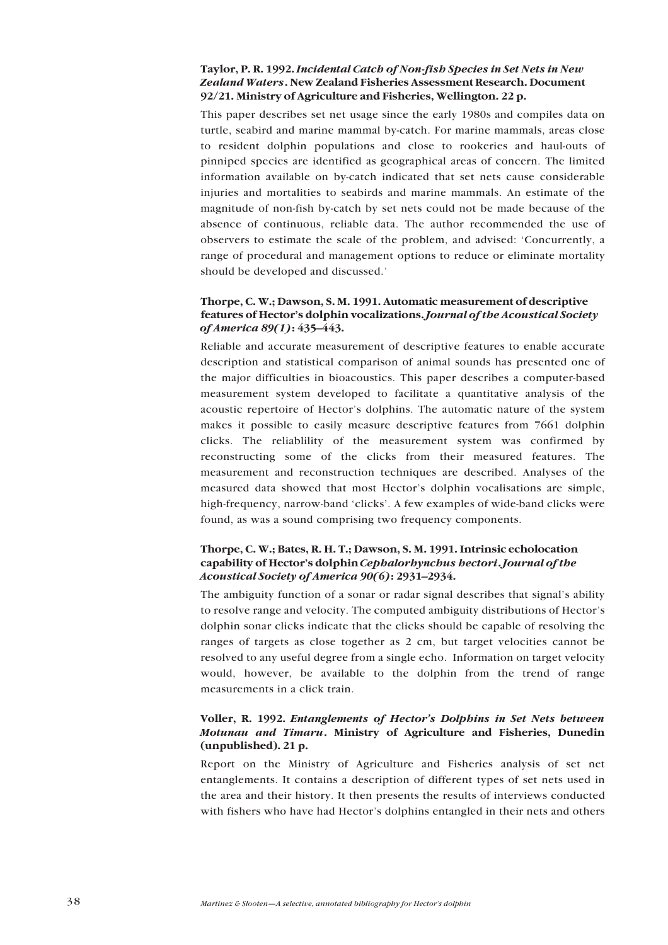### <span id="page-36-0"></span>**Taylor, P. R. 1992.** *Incidental Catch of Non-fish Species in Set Nets in New Zealand Waters***. New Zealand Fisheries Assessment Research. Document 92/21. Ministry of Agriculture and Fisheries, Wellington. 22 p.**

This paper describes set net usage since the early 1980s and compiles data on turtle, seabird and marine mammal by-catch. For marine mammals, areas close to resident dolphin populations and close to rookeries and haul-outs of pinniped species are identified as geographical areas of concern. The limited information available on by-catch indicated that set nets cause considerable injuries and mortalities to seabirds and marine mammals. An estimate of the magnitude of non-fish by-catch by set nets could not be made because of the absence of continuous, reliable data. The author recommended the use of observers to estimate the scale of the problem, and advised: 'Concurrently, a range of procedural and management options to reduce or eliminate mortality should be developed and discussed.<sup>'</sup>

### **Thorpe, C. W.; Dawson, S. M. 1991. Automatic measurement of descriptive features of Hectorís dolphin vocalizations.** *Journal of the Acoustical Society of America 89(1)***:** 435–443.

Reliable and accurate measurement of descriptive features to enable accurate description and statistical comparison of animal sounds has presented one of the major difficulties in bioacoustics. This paper describes a computer-based measurement system developed to facilitate a quantitative analysis of the acoustic repertoire of Hector's dolphins. The automatic nature of the system makes it possible to easily measure descriptive features from 7661 dolphin clicks. The reliablility of the measurement system was confirmed by reconstructing some of the clicks from their measured features. The measurement and reconstruction techniques are described. Analyses of the measured data showed that most Hector's dolphin vocalisations are simple, high-frequency, narrow-band 'clicks'. A few examples of wide-band clicks were found, as was a sound comprising two frequency components.

### **Thorpe, C. W.; Bates, R. H. T.; Dawson, S. M. 1991. Intrinsic echolocation capability of Hectorís dolphin** *Cephalorhynchus hectori***.** *Journal of the Acoustical Society of America 90(6)*: 2931-2934.

The ambiguity function of a sonar or radar signal describes that signal's ability to resolve range and velocity. The computed ambiguity distributions of Hector's dolphin sonar clicks indicate that the clicks should be capable of resolving the ranges of targets as close together as 2 cm, but target velocities cannot be resolved to any useful degree from a single echo. Information on target velocity would, however, be available to the dolphin from the trend of range measurements in a click train.

### **Voller, R. 1992.** *Entanglements of Hectorís Dolphins in Set Nets between Motunau and Timaru***. Ministry of Agriculture and Fisheries, Dunedin (unpublished). 21 p.**

Report on the Ministry of Agriculture and Fisheries analysis of set net entanglements. It contains a description of different types of set nets used in the area and their history. It then presents the results of interviews conducted with fishers who have had Hector's dolphins entangled in their nets and others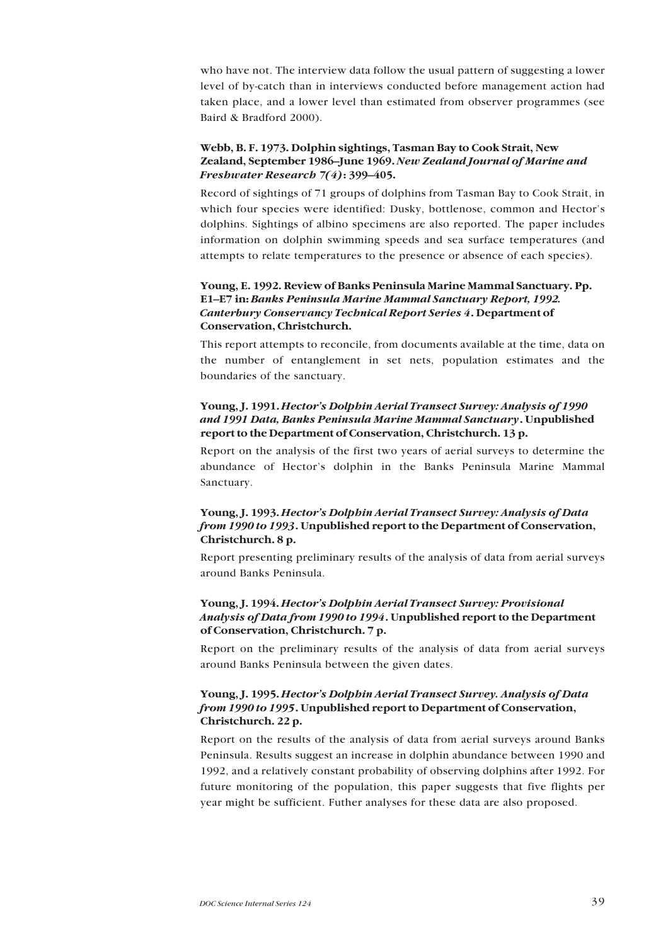who have not. The interview data follow the usual pattern of suggesting a lower level of by-catch than in interviews conducted before management action had taken place, and a lower level than estimated from observer programmes (see Baird & Bradford 2000).

### **Webb, B. F. 1973. Dolphin sightings, Tasman Bay to Cook Strait, New** Zealand, September 1986–June 1969. New Zealand Journal of Marine and *Freshwater Research 7(4)***:** 399–405.

Record of sightings of 71 groups of dolphins from Tasman Bay to Cook Strait, in which four species were identified: Dusky, bottlenose, common and Hector's dolphins. Sightings of albino specimens are also reported. The paper includes information on dolphin swimming speeds and sea surface temperatures (and attempts to relate temperatures to the presence or absence of each species).

### **Young, E. 1992. Review of Banks Peninsula Marine Mammal Sanctuary. Pp.** E1–E7 in: *Banks Peninsula Marine Mammal Sanctuary Report, 1992. Canterbury Conservancy Technical Report Series 4***. Department of Conservation, Christchurch.**

This report attempts to reconcile, from documents available at the time, data on the number of entanglement in set nets, population estimates and the boundaries of the sanctuary.

### **Young, J. 1991.** *Hectorís Dolphin Aerial Transect Survey: Analysis of 1990 and 1991 Data, Banks Peninsula Marine Mammal Sanctuary***. Unpublished report to the Department of Conservation, Christchurch. 13 p.**

Report on the analysis of the first two years of aerial surveys to determine the abundance of Hector's dolphin in the Banks Peninsula Marine Mammal Sanctuary.

### **Young, J. 1993.** *Hectorís Dolphin Aerial Transect Survey: Analysis of Data from 1990 to 1993***. Unpublished report to the Department of Conservation, Christchurch. 8 p.**

Report presenting preliminary results of the analysis of data from aerial surveys around Banks Peninsula.

### **Young, J. 1994.** *Hectorís Dolphin Aerial Transect Survey: Provisional Analysis of Data from 1990 to 1994***. Unpublished report to the Department of Conservation, Christchurch. 7 p.**

Report on the preliminary results of the analysis of data from aerial surveys around Banks Peninsula between the given dates.

### **Young, J. 1995.** *Hectorís Dolphin Aerial Transect Survey. Analysis of Data from 1990 to 1995***. Unpublished report to Department of Conservation, Christchurch. 22 p.**

Report on the results of the analysis of data from aerial surveys around Banks Peninsula. Results suggest an increase in dolphin abundance between 1990 and 1992, and a relatively constant probability of observing dolphins after 1992. For future monitoring of the population, this paper suggests that five flights per year might be sufficient. Futher analyses for these data are also proposed.